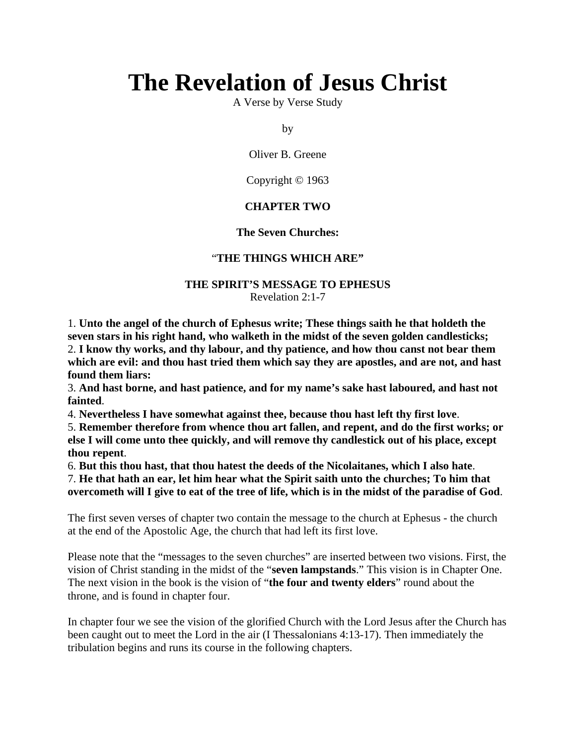# **The Revelation of Jesus Christ**

A Verse by Verse Study

by

Oliver B. Greene

Copyright © 1963

# **CHAPTER TWO**

#### **The Seven Churches:**

#### "**THE THINGS WHICH ARE"**

#### **THE SPIRIT'S MESSAGE TO EPHESUS** Revelation 2:1-7

1. **Unto the angel of the church of Ephesus write; These things saith he that holdeth the seven stars in his right hand, who walketh in the midst of the seven golden candlesticks;** 2. **I know thy works, and thy labour, and thy patience, and how thou canst not bear them which are evil: and thou hast tried them which say they are apostles, and are not, and hast found them liars:**

3. **And hast borne, and hast patience, and for my name's sake hast laboured, and hast not fainted**.

4. **Nevertheless I have somewhat against thee, because thou hast left thy first love**.

5. **Remember therefore from whence thou art fallen, and repent, and do the first works; or else I will come unto thee quickly, and will remove thy candlestick out of his place, except thou repent**.

6. **But this thou hast, that thou hatest the deeds of the Nicolaitanes, which I also hate**.

7. **He that hath an ear, let him hear what the Spirit saith unto the churches; To him that overcometh will I give to eat of the tree of life, which is in the midst of the paradise of God**.

The first seven verses of chapter two contain the message to the church at Ephesus - the church at the end of the Apostolic Age, the church that had left its first love.

Please note that the "messages to the seven churches" are inserted between two visions. First, the vision of Christ standing in the midst of the "**seven lampstands**." This vision is in Chapter One. The next vision in the book is the vision of "**the four and twenty elders**" round about the throne, and is found in chapter four.

In chapter four we see the vision of the glorified Church with the Lord Jesus after the Church has been caught out to meet the Lord in the air (I Thessalonians 4:13-17). Then immediately the tribulation begins and runs its course in the following chapters.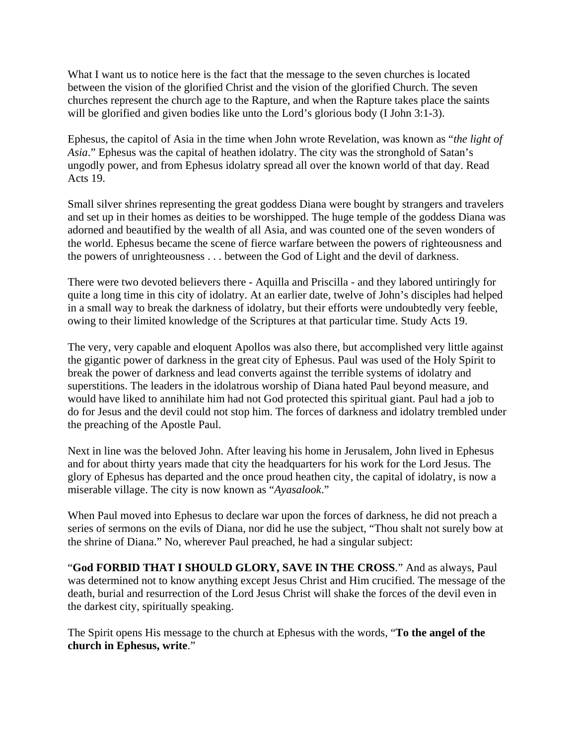What I want us to notice here is the fact that the message to the seven churches is located between the vision of the glorified Christ and the vision of the glorified Church. The seven churches represent the church age to the Rapture, and when the Rapture takes place the saints will be glorified and given bodies like unto the Lord's glorious body (I John 3:1-3).

Ephesus, the capitol of Asia in the time when John wrote Revelation, was known as "*the light of Asia*." Ephesus was the capital of heathen idolatry. The city was the stronghold of Satan's ungodly power, and from Ephesus idolatry spread all over the known world of that day. Read Acts 19.

Small silver shrines representing the great goddess Diana were bought by strangers and travelers and set up in their homes as deities to be worshipped. The huge temple of the goddess Diana was adorned and beautified by the wealth of all Asia, and was counted one of the seven wonders of the world. Ephesus became the scene of fierce warfare between the powers of righteousness and the powers of unrighteousness . . . between the God of Light and the devil of darkness.

There were two devoted believers there - Aquilla and Priscilla - and they labored untiringly for quite a long time in this city of idolatry. At an earlier date, twelve of John's disciples had helped in a small way to break the darkness of idolatry, but their efforts were undoubtedly very feeble, owing to their limited knowledge of the Scriptures at that particular time. Study Acts 19.

The very, very capable and eloquent Apollos was also there, but accomplished very little against the gigantic power of darkness in the great city of Ephesus. Paul was used of the Holy Spirit to break the power of darkness and lead converts against the terrible systems of idolatry and superstitions. The leaders in the idolatrous worship of Diana hated Paul beyond measure, and would have liked to annihilate him had not God protected this spiritual giant. Paul had a job to do for Jesus and the devil could not stop him. The forces of darkness and idolatry trembled under the preaching of the Apostle Paul.

Next in line was the beloved John. After leaving his home in Jerusalem, John lived in Ephesus and for about thirty years made that city the headquarters for his work for the Lord Jesus. The glory of Ephesus has departed and the once proud heathen city, the capital of idolatry, is now a miserable village. The city is now known as "*Ayasalook*."

When Paul moved into Ephesus to declare war upon the forces of darkness, he did not preach a series of sermons on the evils of Diana, nor did he use the subject, "Thou shalt not surely bow at the shrine of Diana." No, wherever Paul preached, he had a singular subject:

"**God FORBID THAT I SHOULD GLORY, SAVE IN THE CROSS**." And as always, Paul was determined not to know anything except Jesus Christ and Him crucified. The message of the death, burial and resurrection of the Lord Jesus Christ will shake the forces of the devil even in the darkest city, spiritually speaking.

The Spirit opens His message to the church at Ephesus with the words, "**To the angel of the church in Ephesus, write**."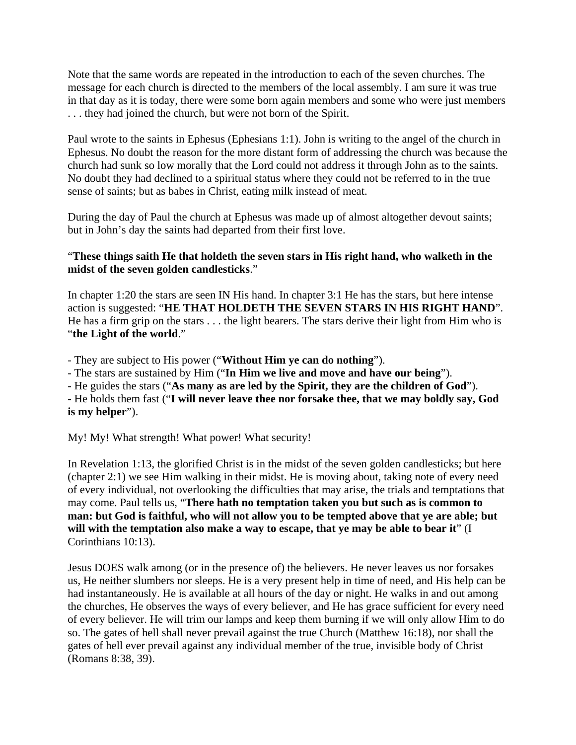Note that the same words are repeated in the introduction to each of the seven churches. The message for each church is directed to the members of the local assembly. I am sure it was true in that day as it is today, there were some born again members and some who were just members . . . they had joined the church, but were not born of the Spirit.

Paul wrote to the saints in Ephesus (Ephesians 1:1). John is writing to the angel of the church in Ephesus. No doubt the reason for the more distant form of addressing the church was because the church had sunk so low morally that the Lord could not address it through John as to the saints. No doubt they had declined to a spiritual status where they could not be referred to in the true sense of saints; but as babes in Christ, eating milk instead of meat.

During the day of Paul the church at Ephesus was made up of almost altogether devout saints; but in John's day the saints had departed from their first love.

# "**These things saith He that holdeth the seven stars in His right hand, who walketh in the midst of the seven golden candlesticks**."

In chapter 1:20 the stars are seen IN His hand. In chapter 3:1 He has the stars, but here intense action is suggested: "**HE THAT HOLDETH THE SEVEN STARS IN HIS RIGHT HAND**". He has a firm grip on the stars . . . the light bearers. The stars derive their light from Him who is "**the Light of the world**."

- They are subject to His power ("**Without Him ye can do nothing**").

- The stars are sustained by Him ("**In Him we live and move and have our being**").

- He guides the stars ("**As many as are led by the Spirit, they are the children of God**").

- He holds them fast ("**I will never leave thee nor forsake thee, that we may boldly say, God is my helper**").

My! My! What strength! What power! What security!

In Revelation 1:13, the glorified Christ is in the midst of the seven golden candlesticks; but here (chapter 2:1) we see Him walking in their midst. He is moving about, taking note of every need of every individual, not overlooking the difficulties that may arise, the trials and temptations that may come. Paul tells us, "**There hath no temptation taken you but such as is common to man: but God is faithful, who will not allow you to be tempted above that ye are able; but**  will with the temptation also make a way to escape, that ye may be able to bear it" (I Corinthians 10:13).

Jesus DOES walk among (or in the presence of) the believers. He never leaves us nor forsakes us, He neither slumbers nor sleeps. He is a very present help in time of need, and His help can be had instantaneously. He is available at all hours of the day or night. He walks in and out among the churches, He observes the ways of every believer, and He has grace sufficient for every need of every believer. He will trim our lamps and keep them burning if we will only allow Him to do so. The gates of hell shall never prevail against the true Church (Matthew 16:18), nor shall the gates of hell ever prevail against any individual member of the true, invisible body of Christ (Romans 8:38, 39).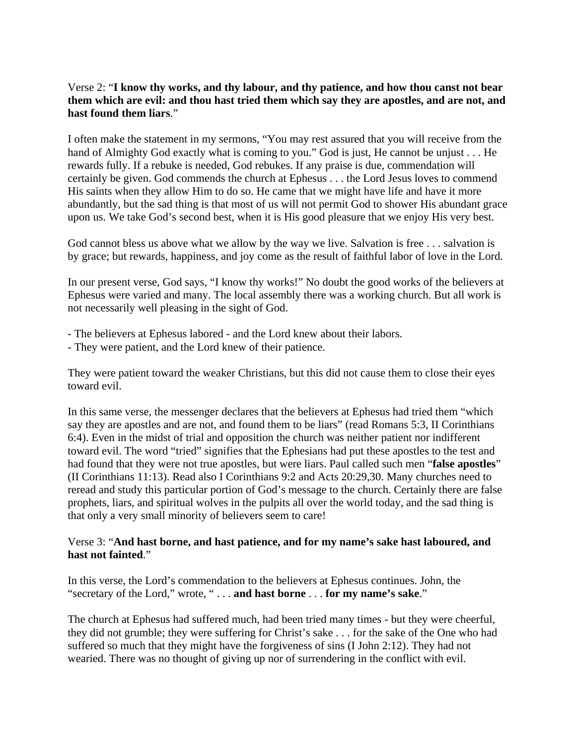#### Verse 2: "**I know thy works, and thy labour, and thy patience, and how thou canst not bear them which are evil: and thou hast tried them which say they are apostles, and are not, and hast found them liars**."

I often make the statement in my sermons, "You may rest assured that you will receive from the hand of Almighty God exactly what is coming to you." God is just, He cannot be unjust . . . He rewards fully. If a rebuke is needed, God rebukes. If any praise is due, commendation will certainly be given. God commends the church at Ephesus . . . the Lord Jesus loves to commend His saints when they allow Him to do so. He came that we might have life and have it more abundantly, but the sad thing is that most of us will not permit God to shower His abundant grace upon us. We take God's second best, when it is His good pleasure that we enjoy His very best.

God cannot bless us above what we allow by the way we live. Salvation is free . . . salvation is by grace; but rewards, happiness, and joy come as the result of faithful labor of love in the Lord.

In our present verse, God says, "I know thy works!" No doubt the good works of the believers at Ephesus were varied and many. The local assembly there was a working church. But all work is not necessarily well pleasing in the sight of God.

- The believers at Ephesus labored and the Lord knew about their labors.
- They were patient, and the Lord knew of their patience.

They were patient toward the weaker Christians, but this did not cause them to close their eyes toward evil.

In this same verse, the messenger declares that the believers at Ephesus had tried them "which say they are apostles and are not, and found them to be liars" (read Romans 5:3, II Corinthians 6:4). Even in the midst of trial and opposition the church was neither patient nor indifferent toward evil. The word "tried" signifies that the Ephesians had put these apostles to the test and had found that they were not true apostles, but were liars. Paul called such men "**false apostles**" (II Corinthians 11:13). Read also I Corinthians 9:2 and Acts 20:29,30. Many churches need to reread and study this particular portion of God's message to the church. Certainly there are false prophets, liars, and spiritual wolves in the pulpits all over the world today, and the sad thing is that only a very small minority of believers seem to care!

#### Verse 3: "**And hast borne, and hast patience, and for my name's sake hast laboured, and hast not fainted**."

In this verse, the Lord's commendation to the believers at Ephesus continues. John, the "secretary of the Lord," wrote, " . . . **and hast borne** . . . **for my name's sake**."

The church at Ephesus had suffered much, had been tried many times - but they were cheerful, they did not grumble; they were suffering for Christ's sake . . . for the sake of the One who had suffered so much that they might have the forgiveness of sins (I John 2:12). They had not wearied. There was no thought of giving up nor of surrendering in the conflict with evil.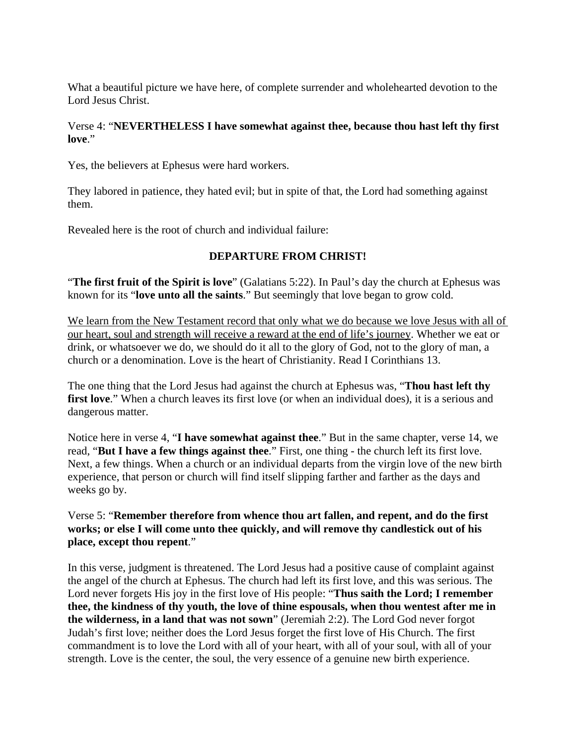What a beautiful picture we have here, of complete surrender and wholehearted devotion to the Lord Jesus Christ.

#### Verse 4: "**NEVERTHELESS I have somewhat against thee, because thou hast left thy first love**."

Yes, the believers at Ephesus were hard workers.

They labored in patience, they hated evil; but in spite of that, the Lord had something against them.

Revealed here is the root of church and individual failure:

# **DEPARTURE FROM CHRIST!**

"**The first fruit of the Spirit is love**" (Galatians 5:22). In Paul's day the church at Ephesus was known for its "**love unto all the saints**." But seemingly that love began to grow cold.

We learn from the New Testament record that only what we do because we love Jesus with all of our heart, soul and strength will receive a reward at the end of life's journey. Whether we eat or drink, or whatsoever we do, we should do it all to the glory of God, not to the glory of man, a church or a denomination. Love is the heart of Christianity. Read I Corinthians 13.

The one thing that the Lord Jesus had against the church at Ephesus was, "**Thou hast left thy**  first love." When a church leaves its first love (or when an individual does), it is a serious and dangerous matter.

Notice here in verse 4, "**I have somewhat against thee**." But in the same chapter, verse 14, we read, "**But I have a few things against thee**." First, one thing - the church left its first love. Next, a few things. When a church or an individual departs from the virgin love of the new birth experience, that person or church will find itself slipping farther and farther as the days and weeks go by.

# Verse 5: "**Remember therefore from whence thou art fallen, and repent, and do the first works; or else I will come unto thee quickly, and will remove thy candlestick out of his place, except thou repent**."

In this verse, judgment is threatened. The Lord Jesus had a positive cause of complaint against the angel of the church at Ephesus. The church had left its first love, and this was serious. The Lord never forgets His joy in the first love of His people: "**Thus saith the Lord; I remember thee, the kindness of thy youth, the love of thine espousals, when thou wentest after me in the wilderness, in a land that was not sown**" (Jeremiah 2:2). The Lord God never forgot Judah's first love; neither does the Lord Jesus forget the first love of His Church. The first commandment is to love the Lord with all of your heart, with all of your soul, with all of your strength. Love is the center, the soul, the very essence of a genuine new birth experience.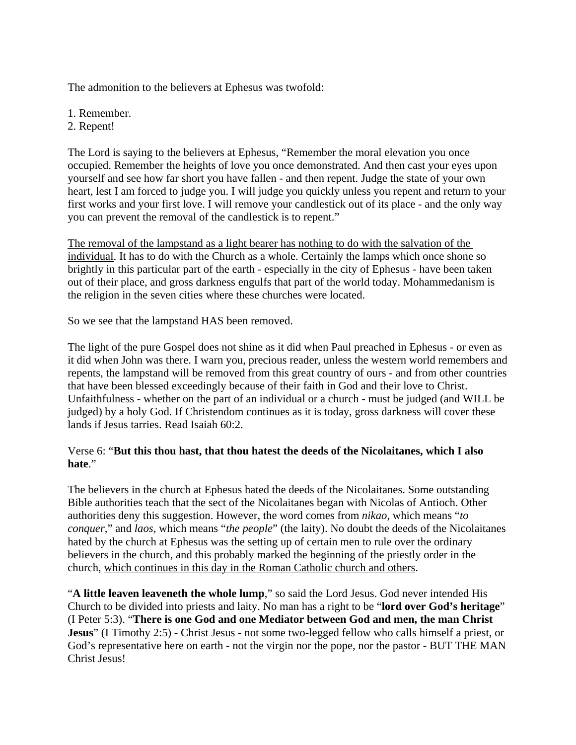The admonition to the believers at Ephesus was twofold:

- 1. Remember.
- 2. Repent!

The Lord is saying to the believers at Ephesus, "Remember the moral elevation you once occupied. Remember the heights of love you once demonstrated. And then cast your eyes upon yourself and see how far short you have fallen - and then repent. Judge the state of your own heart, lest I am forced to judge you. I will judge you quickly unless you repent and return to your first works and your first love. I will remove your candlestick out of its place - and the only way you can prevent the removal of the candlestick is to repent."

The removal of the lampstand as a light bearer has nothing to do with the salvation of the individual. It has to do with the Church as a whole. Certainly the lamps which once shone so brightly in this particular part of the earth - especially in the city of Ephesus - have been taken out of their place, and gross darkness engulfs that part of the world today. Mohammedanism is the religion in the seven cities where these churches were located.

So we see that the lampstand HAS been removed.

The light of the pure Gospel does not shine as it did when Paul preached in Ephesus - or even as it did when John was there. I warn you, precious reader, unless the western world remembers and repents, the lampstand will be removed from this great country of ours - and from other countries that have been blessed exceedingly because of their faith in God and their love to Christ. Unfaithfulness - whether on the part of an individual or a church - must be judged (and WILL be judged) by a holy God. If Christendom continues as it is today, gross darkness will cover these lands if Jesus tarries. Read Isaiah 60:2.

# Verse 6: "**But this thou hast, that thou hatest the deeds of the Nicolaitanes, which I also hate**."

The believers in the church at Ephesus hated the deeds of the Nicolaitanes. Some outstanding Bible authorities teach that the sect of the Nicolaitanes began with Nicolas of Antioch. Other authorities deny this suggestion. However, the word comes from *nikao*, which means "*to conquer*," and *laos*, which means "*the people*" (the laity). No doubt the deeds of the Nicolaitanes hated by the church at Ephesus was the setting up of certain men to rule over the ordinary believers in the church, and this probably marked the beginning of the priestly order in the church, which continues in this day in the Roman Catholic church and others.

"**A little leaven leaveneth the whole lump**," so said the Lord Jesus. God never intended His Church to be divided into priests and laity. No man has a right to be "**lord over God's heritage**" (I Peter 5:3). "**There is one God and one Mediator between God and men, the man Christ Jesus**" (I Timothy 2:5) - Christ Jesus - not some two-legged fellow who calls himself a priest, or God's representative here on earth - not the virgin nor the pope, nor the pastor - BUT THE MAN Christ Jesus!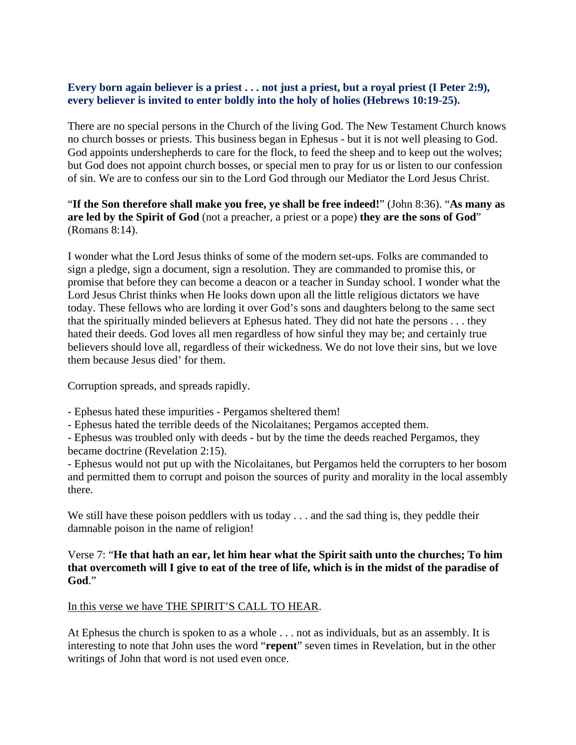#### Every born again believer is a priest . . . not just a priest, but a royal priest (I Peter 2:9), **every believer is invited to enter boldly into the holy of holies (Hebrews 10:19-25).**

There are no special persons in the Church of the living God. The New Testament Church knows no church bosses or priests. This business began in Ephesus - but it is not well pleasing to God. God appoints undershepherds to care for the flock, to feed the sheep and to keep out the wolves; but God does not appoint church bosses, or special men to pray for us or listen to our confession of sin. We are to confess our sin to the Lord God through our Mediator the Lord Jesus Christ.

# "**If the Son therefore shall make you free, ye shall be free indeed!**" (John 8:36). "**As many as are led by the Spirit of God** (not a preacher, a priest or a pope) **they are the sons of God**" (Romans 8:14).

I wonder what the Lord Jesus thinks of some of the modern set-ups. Folks are commanded to sign a pledge, sign a document, sign a resolution. They are commanded to promise this, or promise that before they can become a deacon or a teacher in Sunday school. I wonder what the Lord Jesus Christ thinks when He looks down upon all the little religious dictators we have today. These fellows who are lording it over God's sons and daughters belong to the same sect that the spiritually minded believers at Ephesus hated. They did not hate the persons . . . they hated their deeds. God loves all men regardless of how sinful they may be; and certainly true believers should love all, regardless of their wickedness. We do not love their sins, but we love them because Jesus died' for them.

Corruption spreads, and spreads rapidly.

- Ephesus hated these impurities Pergamos sheltered them!
- Ephesus hated the terrible deeds of the Nicolaitanes; Pergamos accepted them.

- Ephesus was troubled only with deeds - but by the time the deeds reached Pergamos, they became doctrine (Revelation 2:15).

- Ephesus would not put up with the Nicolaitanes, but Pergamos held the corrupters to her bosom and permitted them to corrupt and poison the sources of purity and morality in the local assembly there.

We still have these poison peddlers with us today . . . and the sad thing is, they peddle their damnable poison in the name of religion!

#### Verse 7: "**He that hath an ear, let him hear what the Spirit saith unto the churches; To him that overcometh will I give to eat of the tree of life, which is in the midst of the paradise of God**."

# In this verse we have THE SPIRIT'S CALL TO HEAR.

At Ephesus the church is spoken to as a whole . . . not as individuals, but as an assembly. It is interesting to note that John uses the word "**repent**" seven times in Revelation, but in the other writings of John that word is not used even once.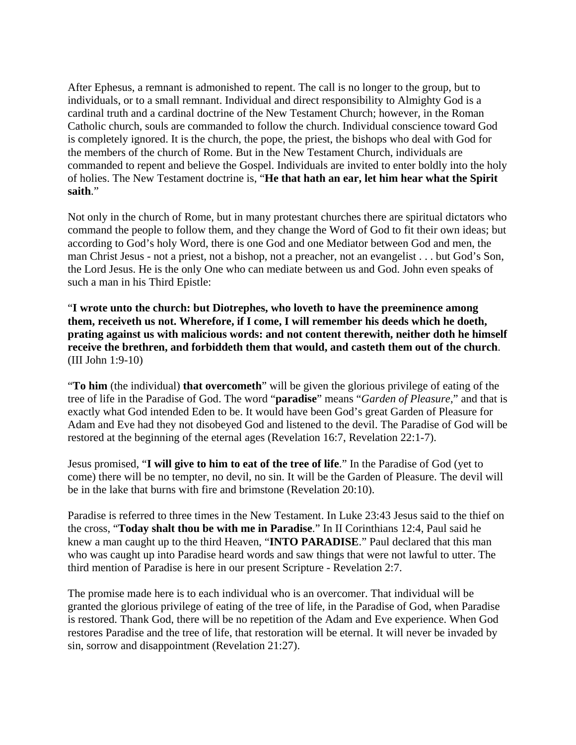After Ephesus, a remnant is admonished to repent. The call is no longer to the group, but to individuals, or to a small remnant. Individual and direct responsibility to Almighty God is a cardinal truth and a cardinal doctrine of the New Testament Church; however, in the Roman Catholic church, souls are commanded to follow the church. Individual conscience toward God is completely ignored. It is the church, the pope, the priest, the bishops who deal with God for the members of the church of Rome. But in the New Testament Church, individuals are commanded to repent and believe the Gospel. Individuals are invited to enter boldly into the holy of holies. The New Testament doctrine is, "**He that hath an ear, let him hear what the Spirit saith**."

Not only in the church of Rome, but in many protestant churches there are spiritual dictators who command the people to follow them, and they change the Word of God to fit their own ideas; but according to God's holy Word, there is one God and one Mediator between God and men, the man Christ Jesus - not a priest, not a bishop, not a preacher, not an evangelist . . . but God's Son, the Lord Jesus. He is the only One who can mediate between us and God. John even speaks of such a man in his Third Epistle:

"**I wrote unto the church: but Diotrephes, who loveth to have the preeminence among them, receiveth us not. Wherefore, if I come, I will remember his deeds which he doeth, prating against us with malicious words: and not content therewith, neither doth he himself receive the brethren, and forbiddeth them that would, and casteth them out of the church**. (III John 1:9-10)

"**To him** (the individual) **that overcometh**" will be given the glorious privilege of eating of the tree of life in the Paradise of God. The word "**paradise**" means "*Garden of Pleasure*," and that is exactly what God intended Eden to be. It would have been God's great Garden of Pleasure for Adam and Eve had they not disobeyed God and listened to the devil. The Paradise of God will be restored at the beginning of the eternal ages (Revelation 16:7, Revelation 22:1-7).

Jesus promised, "**I will give to him to eat of the tree of life**." In the Paradise of God (yet to come) there will be no tempter, no devil, no sin. It will be the Garden of Pleasure. The devil will be in the lake that burns with fire and brimstone (Revelation 20:10).

Paradise is referred to three times in the New Testament. In Luke 23:43 Jesus said to the thief on the cross, "**Today shalt thou be with me in Paradise**." In II Corinthians 12:4, Paul said he knew a man caught up to the third Heaven, "**INTO PARADISE**." Paul declared that this man who was caught up into Paradise heard words and saw things that were not lawful to utter. The third mention of Paradise is here in our present Scripture - Revelation 2:7.

The promise made here is to each individual who is an overcomer. That individual will be granted the glorious privilege of eating of the tree of life, in the Paradise of God, when Paradise is restored. Thank God, there will be no repetition of the Adam and Eve experience. When God restores Paradise and the tree of life, that restoration will be eternal. It will never be invaded by sin, sorrow and disappointment (Revelation 21:27).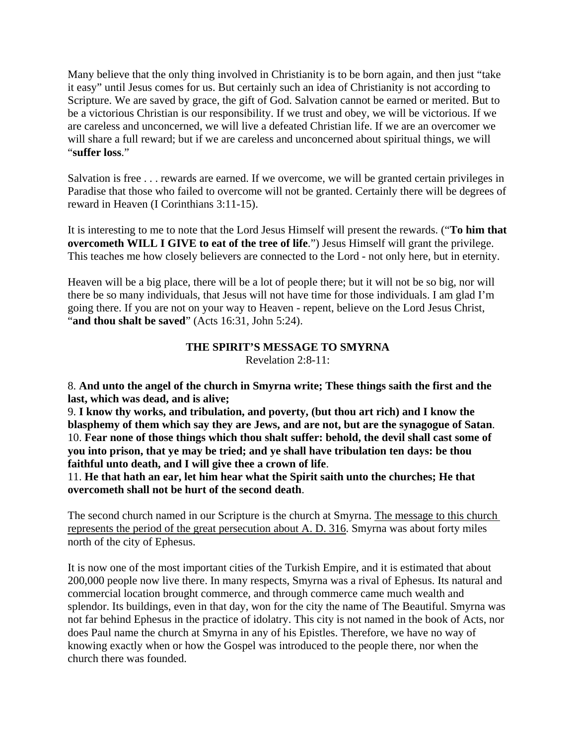Many believe that the only thing involved in Christianity is to be born again, and then just "take it easy" until Jesus comes for us. But certainly such an idea of Christianity is not according to Scripture. We are saved by grace, the gift of God. Salvation cannot be earned or merited. But to be a victorious Christian is our responsibility. If we trust and obey, we will be victorious. If we are careless and unconcerned, we will live a defeated Christian life. If we are an overcomer we will share a full reward; but if we are careless and unconcerned about spiritual things, we will "**suffer loss**."

Salvation is free . . . rewards are earned. If we overcome, we will be granted certain privileges in Paradise that those who failed to overcome will not be granted. Certainly there will be degrees of reward in Heaven (I Corinthians 3:11-15).

It is interesting to me to note that the Lord Jesus Himself will present the rewards. ("**To him that overcometh WILL I GIVE to eat of the tree of life**.") Jesus Himself will grant the privilege. This teaches me how closely believers are connected to the Lord - not only here, but in eternity.

Heaven will be a big place, there will be a lot of people there; but it will not be so big, nor will there be so many individuals, that Jesus will not have time for those individuals. I am glad I'm going there. If you are not on your way to Heaven - repent, believe on the Lord Jesus Christ, "**and thou shalt be saved**" (Acts 16:31, John 5:24).

#### **THE SPIRIT'S MESSAGE TO SMYRNA** Revelation 2:8-11:

8. **And unto the angel of the church in Smyrna write; These things saith the first and the last, which was dead, and is alive;**

9. **I know thy works, and tribulation, and poverty, (but thou art rich) and I know the blasphemy of them which say they are Jews, and are not, but are the synagogue of Satan**. 10. **Fear none of those things which thou shalt suffer: behold, the devil shall cast some of you into prison, that ye may be tried; and ye shall have tribulation ten days: be thou faithful unto death, and I will give thee a crown of life**.

11. **He that hath an ear, let him hear what the Spirit saith unto the churches; He that overcometh shall not be hurt of the second death**.

The second church named in our Scripture is the church at Smyrna. The message to this church represents the period of the great persecution about A. D. 316. Smyrna was about forty miles north of the city of Ephesus.

It is now one of the most important cities of the Turkish Empire, and it is estimated that about 200,000 people now live there. In many respects, Smyrna was a rival of Ephesus. Its natural and commercial location brought commerce, and through commerce came much wealth and splendor. Its buildings, even in that day, won for the city the name of The Beautiful. Smyrna was not far behind Ephesus in the practice of idolatry. This city is not named in the book of Acts, nor does Paul name the church at Smyrna in any of his Epistles. Therefore, we have no way of knowing exactly when or how the Gospel was introduced to the people there, nor when the church there was founded.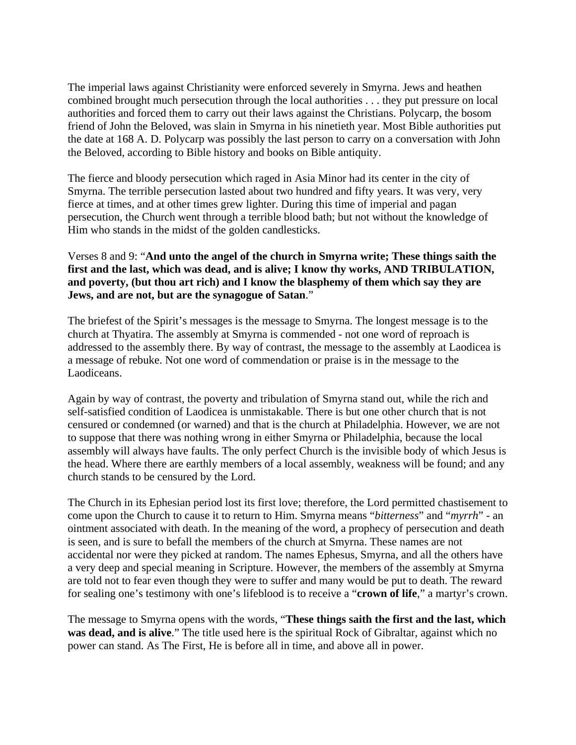The imperial laws against Christianity were enforced severely in Smyrna. Jews and heathen combined brought much persecution through the local authorities . . . they put pressure on local authorities and forced them to carry out their laws against the Christians. Polycarp, the bosom friend of John the Beloved, was slain in Smyrna in his ninetieth year. Most Bible authorities put the date at 168 A. D. Polycarp was possibly the last person to carry on a conversation with John the Beloved, according to Bible history and books on Bible antiquity.

The fierce and bloody persecution which raged in Asia Minor had its center in the city of Smyrna. The terrible persecution lasted about two hundred and fifty years. It was very, very fierce at times, and at other times grew lighter. During this time of imperial and pagan persecution, the Church went through a terrible blood bath; but not without the knowledge of Him who stands in the midst of the golden candlesticks.

# Verses 8 and 9: "**And unto the angel of the church in Smyrna write; These things saith the first and the last, which was dead, and is alive; I know thy works, AND TRIBULATION, and poverty, (but thou art rich) and I know the blasphemy of them which say they are Jews, and are not, but are the synagogue of Satan**."

The briefest of the Spirit's messages is the message to Smyrna. The longest message is to the church at Thyatira. The assembly at Smyrna is commended - not one word of reproach is addressed to the assembly there. By way of contrast, the message to the assembly at Laodicea is a message of rebuke. Not one word of commendation or praise is in the message to the Laodiceans.

Again by way of contrast, the poverty and tribulation of Smyrna stand out, while the rich and self-satisfied condition of Laodicea is unmistakable. There is but one other church that is not censured or condemned (or warned) and that is the church at Philadelphia. However, we are not to suppose that there was nothing wrong in either Smyrna or Philadelphia, because the local assembly will always have faults. The only perfect Church is the invisible body of which Jesus is the head. Where there are earthly members of a local assembly, weakness will be found; and any church stands to be censured by the Lord.

The Church in its Ephesian period lost its first love; therefore, the Lord permitted chastisement to come upon the Church to cause it to return to Him. Smyrna means "*bitterness*" and "*myrrh*" - an ointment associated with death. In the meaning of the word, a prophecy of persecution and death is seen, and is sure to befall the members of the church at Smyrna. These names are not accidental nor were they picked at random. The names Ephesus, Smyrna, and all the others have a very deep and special meaning in Scripture. However, the members of the assembly at Smyrna are told not to fear even though they were to suffer and many would be put to death. The reward for sealing one's testimony with one's lifeblood is to receive a "**crown of life**," a martyr's crown.

The message to Smyrna opens with the words, "**These things saith the first and the last, which was dead, and is alive**." The title used here is the spiritual Rock of Gibraltar, against which no power can stand. As The First, He is before all in time, and above all in power.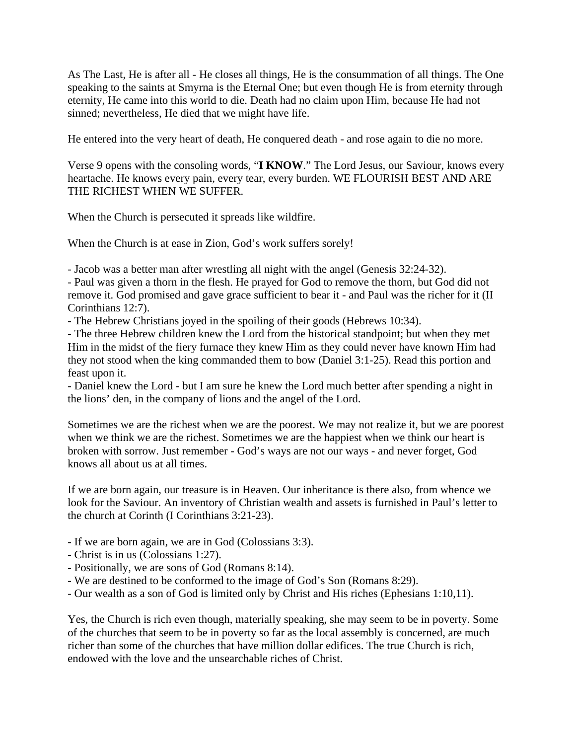As The Last, He is after all - He closes all things, He is the consummation of all things. The One speaking to the saints at Smyrna is the Eternal One; but even though He is from eternity through eternity, He came into this world to die. Death had no claim upon Him, because He had not sinned; nevertheless, He died that we might have life.

He entered into the very heart of death, He conquered death - and rose again to die no more.

Verse 9 opens with the consoling words, "**I KNOW**." The Lord Jesus, our Saviour, knows every heartache. He knows every pain, every tear, every burden. WE FLOURISH BEST AND ARE THE RICHEST WHEN WE SUFFER.

When the Church is persecuted it spreads like wildfire.

When the Church is at ease in Zion, God's work suffers sorely!

- Jacob was a better man after wrestling all night with the angel (Genesis 32:24-32).

- Paul was given a thorn in the flesh. He prayed for God to remove the thorn, but God did not remove it. God promised and gave grace sufficient to bear it - and Paul was the richer for it (II Corinthians 12:7).

- The Hebrew Christians joyed in the spoiling of their goods (Hebrews 10:34).

- The three Hebrew children knew the Lord from the historical standpoint; but when they met Him in the midst of the fiery furnace they knew Him as they could never have known Him had they not stood when the king commanded them to bow (Daniel 3:1-25). Read this portion and feast upon it.

- Daniel knew the Lord - but I am sure he knew the Lord much better after spending a night in the lions' den, in the company of lions and the angel of the Lord.

Sometimes we are the richest when we are the poorest. We may not realize it, but we are poorest when we think we are the richest. Sometimes we are the happiest when we think our heart is broken with sorrow. Just remember - God's ways are not our ways - and never forget, God knows all about us at all times.

If we are born again, our treasure is in Heaven. Our inheritance is there also, from whence we look for the Saviour. An inventory of Christian wealth and assets is furnished in Paul's letter to the church at Corinth (I Corinthians 3:21-23).

- If we are born again, we are in God (Colossians 3:3).
- Christ is in us (Colossians 1:27).
- Positionally, we are sons of God (Romans 8:14).
- We are destined to be conformed to the image of God's Son (Romans 8:29).
- Our wealth as a son of God is limited only by Christ and His riches (Ephesians 1:10,11).

Yes, the Church is rich even though, materially speaking, she may seem to be in poverty. Some of the churches that seem to be in poverty so far as the local assembly is concerned, are much richer than some of the churches that have million dollar edifices. The true Church is rich, endowed with the love and the unsearchable riches of Christ.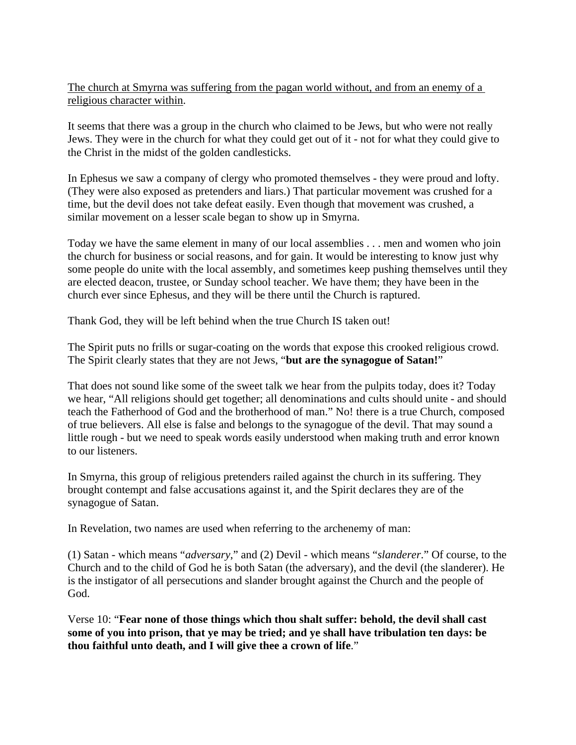The church at Smyrna was suffering from the pagan world without, and from an enemy of a religious character within.

It seems that there was a group in the church who claimed to be Jews, but who were not really Jews. They were in the church for what they could get out of it - not for what they could give to the Christ in the midst of the golden candlesticks.

In Ephesus we saw a company of clergy who promoted themselves - they were proud and lofty. (They were also exposed as pretenders and liars.) That particular movement was crushed for a time, but the devil does not take defeat easily. Even though that movement was crushed, a similar movement on a lesser scale began to show up in Smyrna.

Today we have the same element in many of our local assemblies . . . men and women who join the church for business or social reasons, and for gain. It would be interesting to know just why some people do unite with the local assembly, and sometimes keep pushing themselves until they are elected deacon, trustee, or Sunday school teacher. We have them; they have been in the church ever since Ephesus, and they will be there until the Church is raptured.

Thank God, they will be left behind when the true Church IS taken out!

The Spirit puts no frills or sugar-coating on the words that expose this crooked religious crowd. The Spirit clearly states that they are not Jews, "**but are the synagogue of Satan!**"

That does not sound like some of the sweet talk we hear from the pulpits today, does it? Today we hear, "All religions should get together; all denominations and cults should unite - and should teach the Fatherhood of God and the brotherhood of man." No! there is a true Church, composed of true believers. All else is false and belongs to the synagogue of the devil. That may sound a little rough - but we need to speak words easily understood when making truth and error known to our listeners.

In Smyrna, this group of religious pretenders railed against the church in its suffering. They brought contempt and false accusations against it, and the Spirit declares they are of the synagogue of Satan.

In Revelation, two names are used when referring to the archenemy of man:

(1) Satan - which means "*adversary*," and (2) Devil - which means "*slanderer*." Of course, to the Church and to the child of God he is both Satan (the adversary), and the devil (the slanderer). He is the instigator of all persecutions and slander brought against the Church and the people of God.

Verse 10: "**Fear none of those things which thou shalt suffer: behold, the devil shall cast some of you into prison, that ye may be tried; and ye shall have tribulation ten days: be thou faithful unto death, and I will give thee a crown of life**."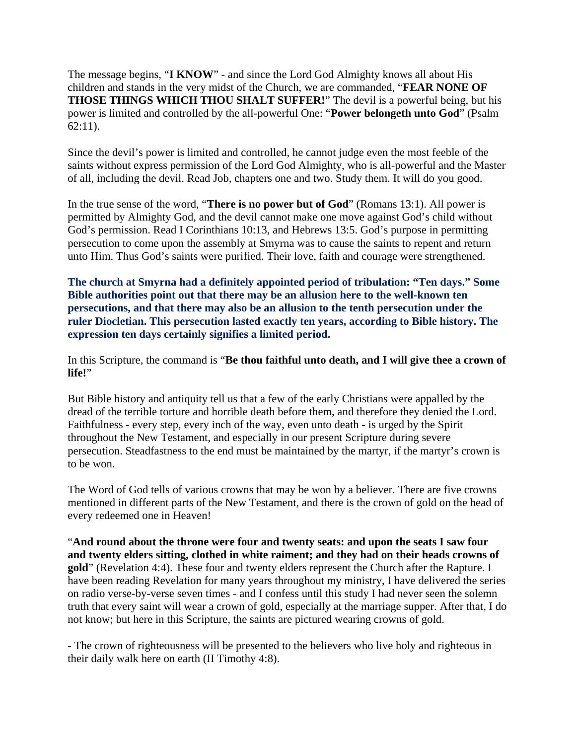The message begins, "**I KNOW**" - and since the Lord God Almighty knows all about His children and stands in the very midst of the Church, we are commanded, "**FEAR NONE OF THOSE THINGS WHICH THOU SHALT SUFFER!**" The devil is a powerful being, but his power is limited and controlled by the all-powerful One: "**Power belongeth unto God**" (Psalm 62:11).

Since the devil's power is limited and controlled, he cannot judge even the most feeble of the saints without express permission of the Lord God Almighty, who is all-powerful and the Master of all, including the devil. Read Job, chapters one and two. Study them. It will do you good.

In the true sense of the word, "**There is no power but of God**" (Romans 13:1). All power is permitted by Almighty God, and the devil cannot make one move against God's child without God's permission. Read I Corinthians 10:13, and Hebrews 13:5. God's purpose in permitting persecution to come upon the assembly at Smyrna was to cause the saints to repent and return unto Him. Thus God's saints were purified. Their love, faith and courage were strengthened.

**The church at Smyrna had a definitely appointed period of tribulation: "Ten days." Some Bible authorities point out that there may be an allusion here to the well-known ten persecutions, and that there may also be an allusion to the tenth persecution under the ruler Diocletian. This persecution lasted exactly ten years, according to Bible history. The expression ten days certainly signifies a limited period.**

In this Scripture, the command is "**Be thou faithful unto death, and I will give thee a crown of life!**"

But Bible history and antiquity tell us that a few of the early Christians were appalled by the dread of the terrible torture and horrible death before them, and therefore they denied the Lord. Faithfulness - every step, every inch of the way, even unto death - is urged by the Spirit throughout the New Testament, and especially in our present Scripture during severe persecution. Steadfastness to the end must be maintained by the martyr, if the martyr's crown is to be won.

The Word of God tells of various crowns that may be won by a believer. There are five crowns mentioned in different parts of the New Testament, and there is the crown of gold on the head of every redeemed one in Heaven!

"**And round about the throne were four and twenty seats: and upon the seats I saw four and twenty elders sitting, clothed in white raiment; and they had on their heads crowns of gold**" (Revelation 4:4). These four and twenty elders represent the Church after the Rapture. I have been reading Revelation for many years throughout my ministry, I have delivered the series on radio verse-by-verse seven times - and I confess until this study I had never seen the solemn truth that every saint will wear a crown of gold, especially at the marriage supper. After that, I do not know; but here in this Scripture, the saints are pictured wearing crowns of gold.

- The crown of righteousness will be presented to the believers who live holy and righteous in their daily walk here on earth (II Timothy 4:8).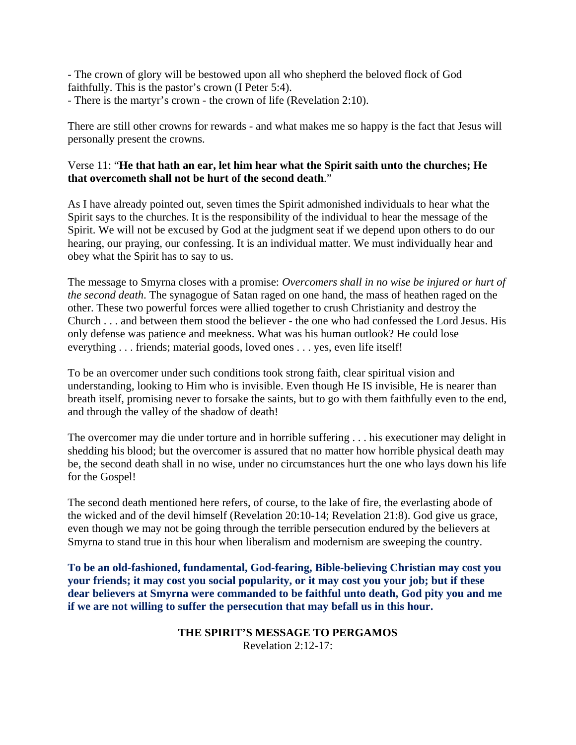- The crown of glory will be bestowed upon all who shepherd the beloved flock of God faithfully. This is the pastor's crown (I Peter 5:4).

- There is the martyr's crown - the crown of life (Revelation 2:10).

There are still other crowns for rewards - and what makes me so happy is the fact that Jesus will personally present the crowns.

# Verse 11: "**He that hath an ear, let him hear what the Spirit saith unto the churches; He that overcometh shall not be hurt of the second death**."

As I have already pointed out, seven times the Spirit admonished individuals to hear what the Spirit says to the churches. It is the responsibility of the individual to hear the message of the Spirit. We will not be excused by God at the judgment seat if we depend upon others to do our hearing, our praying, our confessing. It is an individual matter. We must individually hear and obey what the Spirit has to say to us.

The message to Smyrna closes with a promise: *Overcomers shall in no wise be injured or hurt of the second death*. The synagogue of Satan raged on one hand, the mass of heathen raged on the other. These two powerful forces were allied together to crush Christianity and destroy the Church . . . and between them stood the believer - the one who had confessed the Lord Jesus. His only defense was patience and meekness. What was his human outlook? He could lose everything . . . friends; material goods, loved ones . . . yes, even life itself!

To be an overcomer under such conditions took strong faith, clear spiritual vision and understanding, looking to Him who is invisible. Even though He IS invisible, He is nearer than breath itself, promising never to forsake the saints, but to go with them faithfully even to the end, and through the valley of the shadow of death!

The overcomer may die under torture and in horrible suffering . . . his executioner may delight in shedding his blood; but the overcomer is assured that no matter how horrible physical death may be, the second death shall in no wise, under no circumstances hurt the one who lays down his life for the Gospel!

The second death mentioned here refers, of course, to the lake of fire, the everlasting abode of the wicked and of the devil himself (Revelation 20:10-14; Revelation 21:8). God give us grace, even though we may not be going through the terrible persecution endured by the believers at Smyrna to stand true in this hour when liberalism and modernism are sweeping the country.

**To be an old-fashioned, fundamental, God-fearing, Bible-believing Christian may cost you your friends; it may cost you social popularity, or it may cost you your job; but if these dear believers at Smyrna were commanded to be faithful unto death, God pity you and me if we are not willing to suffer the persecution that may befall us in this hour.**

> **THE SPIRIT'S MESSAGE TO PERGAMOS** Revelation 2:12-17: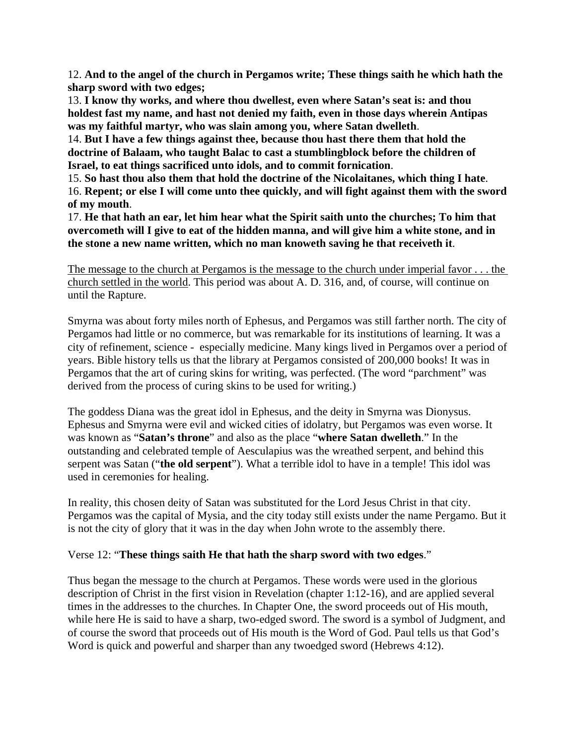12. **And to the angel of the church in Pergamos write; These things saith he which hath the sharp sword with two edges;**

13. **I know thy works, and where thou dwellest, even where Satan's seat is: and thou holdest fast my name, and hast not denied my faith, even in those days wherein Antipas was my faithful martyr, who was slain among you, where Satan dwelleth**.

14. **But I have a few things against thee, because thou hast there them that hold the doctrine of Balaam, who taught Balac to cast a stumblingblock before the children of Israel, to eat things sacrificed unto idols, and to commit fornication**.

15. **So hast thou also them that hold the doctrine of the Nicolaitanes, which thing I hate**. 16. **Repent; or else I will come unto thee quickly, and will fight against them with the sword** 

**of my mouth**.

17. **He that hath an ear, let him hear what the Spirit saith unto the churches; To him that overcometh will I give to eat of the hidden manna, and will give him a white stone, and in the stone a new name written, which no man knoweth saving he that receiveth it**.

The message to the church at Pergamos is the message to the church under imperial favor . . . the church settled in the world. This period was about A. D. 316, and, of course, will continue on until the Rapture.

Smyrna was about forty miles north of Ephesus, and Pergamos was still farther north. The city of Pergamos had little or no commerce, but was remarkable for its institutions of learning. It was a city of refinement, science - especially medicine. Many kings lived in Pergamos over a period of years. Bible history tells us that the library at Pergamos consisted of 200,000 books! It was in Pergamos that the art of curing skins for writing, was perfected. (The word "parchment" was derived from the process of curing skins to be used for writing.)

The goddess Diana was the great idol in Ephesus, and the deity in Smyrna was Dionysus. Ephesus and Smyrna were evil and wicked cities of idolatry, but Pergamos was even worse. It was known as "**Satan's throne**" and also as the place "**where Satan dwelleth**." In the outstanding and celebrated temple of Aesculapius was the wreathed serpent, and behind this serpent was Satan ("**the old serpent**"). What a terrible idol to have in a temple! This idol was used in ceremonies for healing.

In reality, this chosen deity of Satan was substituted for the Lord Jesus Christ in that city. Pergamos was the capital of Mysia, and the city today still exists under the name Pergamo. But it is not the city of glory that it was in the day when John wrote to the assembly there.

# Verse 12: "**These things saith He that hath the sharp sword with two edges**."

Thus began the message to the church at Pergamos. These words were used in the glorious description of Christ in the first vision in Revelation (chapter 1:12-16), and are applied several times in the addresses to the churches. In Chapter One, the sword proceeds out of His mouth, while here He is said to have a sharp, two-edged sword. The sword is a symbol of Judgment, and of course the sword that proceeds out of His mouth is the Word of God. Paul tells us that God's Word is quick and powerful and sharper than any twoedged sword (Hebrews 4:12).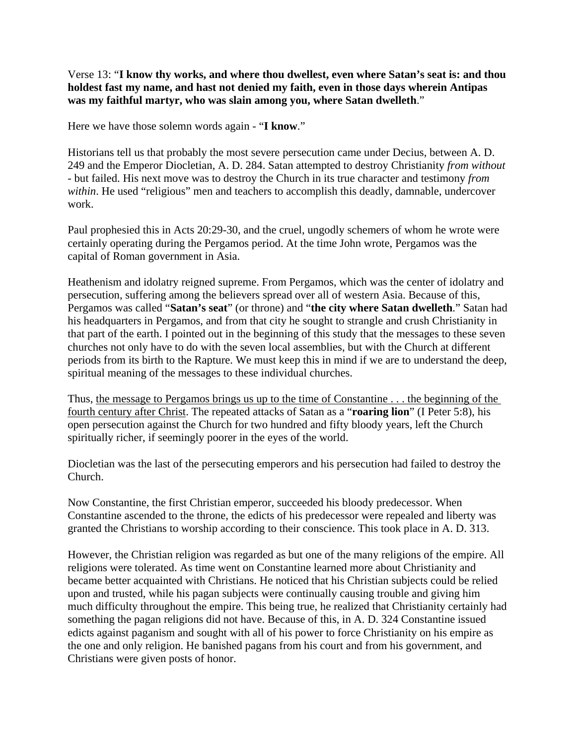Verse 13: "**I know thy works, and where thou dwellest, even where Satan's seat is: and thou holdest fast my name, and hast not denied my faith, even in those days wherein Antipas was my faithful martyr, who was slain among you, where Satan dwelleth**."

Here we have those solemn words again - "**I know**."

Historians tell us that probably the most severe persecution came under Decius, between A. D. 249 and the Emperor Diocletian, A. D. 284. Satan attempted to destroy Christianity *from without* - but failed. His next move was to destroy the Church in its true character and testimony *from*  within. He used "religious" men and teachers to accomplish this deadly, damnable, undercover work.

Paul prophesied this in Acts 20:29-30, and the cruel, ungodly schemers of whom he wrote were certainly operating during the Pergamos period. At the time John wrote, Pergamos was the capital of Roman government in Asia.

Heathenism and idolatry reigned supreme. From Pergamos, which was the center of idolatry and persecution, suffering among the believers spread over all of western Asia. Because of this, Pergamos was called "**Satan's seat**" (or throne) and "**the city where Satan dwelleth**." Satan had his headquarters in Pergamos, and from that city he sought to strangle and crush Christianity in that part of the earth. I pointed out in the beginning of this study that the messages to these seven churches not only have to do with the seven local assemblies, but with the Church at different periods from its birth to the Rapture. We must keep this in mind if we are to understand the deep, spiritual meaning of the messages to these individual churches.

Thus, the message to Pergamos brings us up to the time of Constantine . . . the beginning of the fourth century after Christ. The repeated attacks of Satan as a "**roaring lion**" (I Peter 5:8), his open persecution against the Church for two hundred and fifty bloody years, left the Church spiritually richer, if seemingly poorer in the eyes of the world.

Diocletian was the last of the persecuting emperors and his persecution had failed to destroy the Church.

Now Constantine, the first Christian emperor, succeeded his bloody predecessor. When Constantine ascended to the throne, the edicts of his predecessor were repealed and liberty was granted the Christians to worship according to their conscience. This took place in A. D. 313.

However, the Christian religion was regarded as but one of the many religions of the empire. All religions were tolerated. As time went on Constantine learned more about Christianity and became better acquainted with Christians. He noticed that his Christian subjects could be relied upon and trusted, while his pagan subjects were continually causing trouble and giving him much difficulty throughout the empire. This being true, he realized that Christianity certainly had something the pagan religions did not have. Because of this, in A. D. 324 Constantine issued edicts against paganism and sought with all of his power to force Christianity on his empire as the one and only religion. He banished pagans from his court and from his government, and Christians were given posts of honor.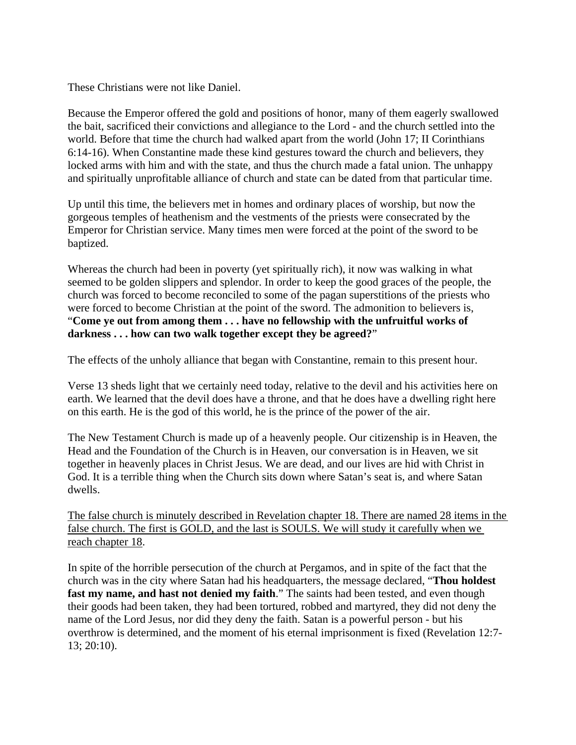These Christians were not like Daniel.

Because the Emperor offered the gold and positions of honor, many of them eagerly swallowed the bait, sacrificed their convictions and allegiance to the Lord - and the church settled into the world. Before that time the church had walked apart from the world (John 17; II Corinthians 6:14-16). When Constantine made these kind gestures toward the church and believers, they locked arms with him and with the state, and thus the church made a fatal union. The unhappy and spiritually unprofitable alliance of church and state can be dated from that particular time.

Up until this time, the believers met in homes and ordinary places of worship, but now the gorgeous temples of heathenism and the vestments of the priests were consecrated by the Emperor for Christian service. Many times men were forced at the point of the sword to be baptized.

Whereas the church had been in poverty (yet spiritually rich), it now was walking in what seemed to be golden slippers and splendor. In order to keep the good graces of the people, the church was forced to become reconciled to some of the pagan superstitions of the priests who were forced to become Christian at the point of the sword. The admonition to believers is, "**Come ye out from among them . . . have no fellowship with the unfruitful works of darkness . . . how can two walk together except they be agreed?**"

The effects of the unholy alliance that began with Constantine, remain to this present hour.

Verse 13 sheds light that we certainly need today, relative to the devil and his activities here on earth. We learned that the devil does have a throne, and that he does have a dwelling right here on this earth. He is the god of this world, he is the prince of the power of the air.

The New Testament Church is made up of a heavenly people. Our citizenship is in Heaven, the Head and the Foundation of the Church is in Heaven, our conversation is in Heaven, we sit together in heavenly places in Christ Jesus. We are dead, and our lives are hid with Christ in God. It is a terrible thing when the Church sits down where Satan's seat is, and where Satan dwells.

The false church is minutely described in Revelation chapter 18. There are named 28 items in the false church. The first is GOLD, and the last is SOULS. We will study it carefully when we reach chapter 18.

In spite of the horrible persecution of the church at Pergamos, and in spite of the fact that the church was in the city where Satan had his headquarters, the message declared, "**Thou holdest fast my name, and hast not denied my faith**." The saints had been tested, and even though their goods had been taken, they had been tortured, robbed and martyred, they did not deny the name of the Lord Jesus, nor did they deny the faith. Satan is a powerful person - but his overthrow is determined, and the moment of his eternal imprisonment is fixed (Revelation 12:7- 13; 20:10).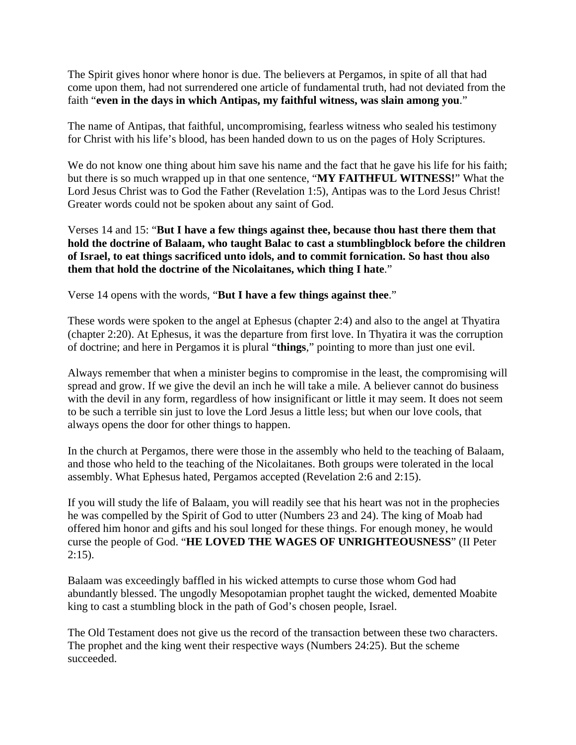The Spirit gives honor where honor is due. The believers at Pergamos, in spite of all that had come upon them, had not surrendered one article of fundamental truth, had not deviated from the faith "**even in the days in which Antipas, my faithful witness, was slain among you**."

The name of Antipas, that faithful, uncompromising, fearless witness who sealed his testimony for Christ with his life's blood, has been handed down to us on the pages of Holy Scriptures.

We do not know one thing about him save his name and the fact that he gave his life for his faith; but there is so much wrapped up in that one sentence, "**MY FAITHFUL WITNESS!**" What the Lord Jesus Christ was to God the Father (Revelation 1:5), Antipas was to the Lord Jesus Christ! Greater words could not be spoken about any saint of God.

Verses 14 and 15: "**But I have a few things against thee, because thou hast there them that hold the doctrine of Balaam, who taught Balac to cast a stumblingblock before the children of Israel, to eat things sacrificed unto idols, and to commit fornication. So hast thou also them that hold the doctrine of the Nicolaitanes, which thing I hate**."

Verse 14 opens with the words, "**But I have a few things against thee**."

These words were spoken to the angel at Ephesus (chapter 2:4) and also to the angel at Thyatira (chapter 2:20). At Ephesus, it was the departure from first love. In Thyatira it was the corruption of doctrine; and here in Pergamos it is plural "**things**," pointing to more than just one evil.

Always remember that when a minister begins to compromise in the least, the compromising will spread and grow. If we give the devil an inch he will take a mile. A believer cannot do business with the devil in any form, regardless of how insignificant or little it may seem. It does not seem to be such a terrible sin just to love the Lord Jesus a little less; but when our love cools, that always opens the door for other things to happen.

In the church at Pergamos, there were those in the assembly who held to the teaching of Balaam, and those who held to the teaching of the Nicolaitanes. Both groups were tolerated in the local assembly. What Ephesus hated, Pergamos accepted (Revelation 2:6 and 2:15).

If you will study the life of Balaam, you will readily see that his heart was not in the prophecies he was compelled by the Spirit of God to utter (Numbers 23 and 24). The king of Moab had offered him honor and gifts and his soul longed for these things. For enough money, he would curse the people of God. "**HE LOVED THE WAGES OF UNRIGHTEOUSNESS**" (II Peter  $2:15$ ).

Balaam was exceedingly baffled in his wicked attempts to curse those whom God had abundantly blessed. The ungodly Mesopotamian prophet taught the wicked, demented Moabite king to cast a stumbling block in the path of God's chosen people, Israel.

The Old Testament does not give us the record of the transaction between these two characters. The prophet and the king went their respective ways (Numbers 24:25). But the scheme succeeded.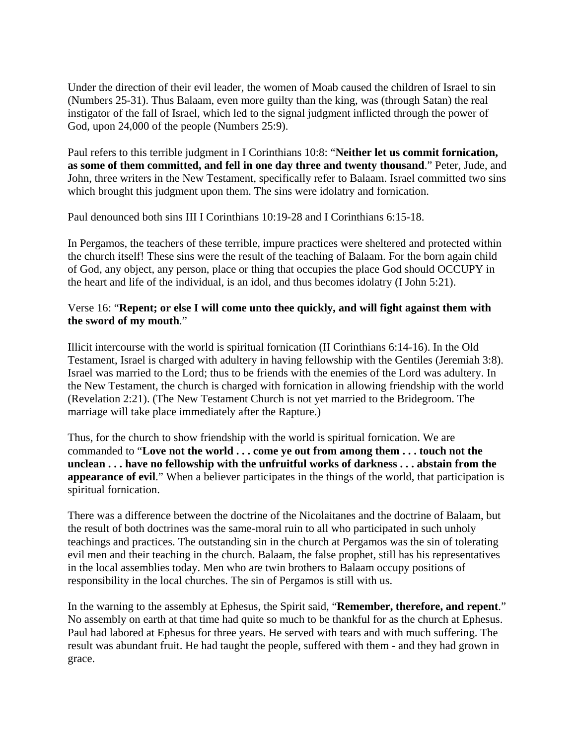Under the direction of their evil leader, the women of Moab caused the children of Israel to sin (Numbers 25-31). Thus Balaam, even more guilty than the king, was (through Satan) the real instigator of the fall of Israel, which led to the signal judgment inflicted through the power of God, upon 24,000 of the people (Numbers 25:9).

Paul refers to this terrible judgment in I Corinthians 10:8: "**Neither let us commit fornication, as some of them committed, and fell in one day three and twenty thousand**." Peter, Jude, and John, three writers in the New Testament, specifically refer to Balaam. Israel committed two sins which brought this judgment upon them. The sins were idolatry and fornication.

Paul denounced both sins III I Corinthians 10:19-28 and I Corinthians 6:15-18.

In Pergamos, the teachers of these terrible, impure practices were sheltered and protected within the church itself! These sins were the result of the teaching of Balaam. For the born again child of God, any object, any person, place or thing that occupies the place God should OCCUPY in the heart and life of the individual, is an idol, and thus becomes idolatry (I John 5:21).

#### Verse 16: "**Repent; or else I will come unto thee quickly, and will fight against them with the sword of my mouth**."

Illicit intercourse with the world is spiritual fornication (II Corinthians 6:14-16). In the Old Testament, Israel is charged with adultery in having fellowship with the Gentiles (Jeremiah 3:8). Israel was married to the Lord; thus to be friends with the enemies of the Lord was adultery. In the New Testament, the church is charged with fornication in allowing friendship with the world (Revelation 2:21). (The New Testament Church is not yet married to the Bridegroom. The marriage will take place immediately after the Rapture.)

Thus, for the church to show friendship with the world is spiritual fornication. We are commanded to "**Love not the world . . . come ye out from among them . . . touch not the unclean . . . have no fellowship with the unfruitful works of darkness . . . abstain from the appearance of evil**." When a believer participates in the things of the world, that participation is spiritual fornication.

There was a difference between the doctrine of the Nicolaitanes and the doctrine of Balaam, but the result of both doctrines was the same-moral ruin to all who participated in such unholy teachings and practices. The outstanding sin in the church at Pergamos was the sin of tolerating evil men and their teaching in the church. Balaam, the false prophet, still has his representatives in the local assemblies today. Men who are twin brothers to Balaam occupy positions of responsibility in the local churches. The sin of Pergamos is still with us.

In the warning to the assembly at Ephesus, the Spirit said, "**Remember, therefore, and repent**." No assembly on earth at that time had quite so much to be thankful for as the church at Ephesus. Paul had labored at Ephesus for three years. He served with tears and with much suffering. The result was abundant fruit. He had taught the people, suffered with them - and they had grown in grace.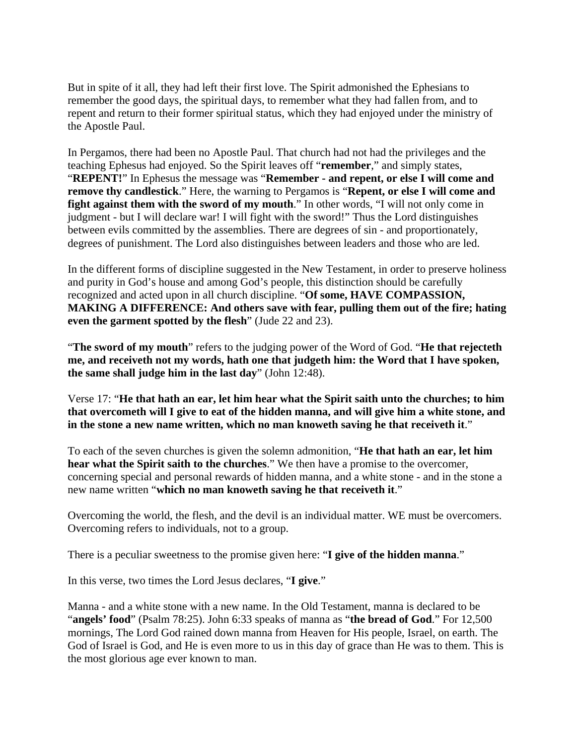But in spite of it all, they had left their first love. The Spirit admonished the Ephesians to remember the good days, the spiritual days, to remember what they had fallen from, and to repent and return to their former spiritual status, which they had enjoyed under the ministry of the Apostle Paul.

In Pergamos, there had been no Apostle Paul. That church had not had the privileges and the teaching Ephesus had enjoyed. So the Spirit leaves off "**remember**," and simply states, "**REPENT!**" In Ephesus the message was "**Remember - and repent, or else I will come and remove thy candlestick**." Here, the warning to Pergamos is "**Repent, or else I will come and fight against them with the sword of my mouth**." In other words, "I will not only come in judgment - but I will declare war! I will fight with the sword!" Thus the Lord distinguishes between evils committed by the assemblies. There are degrees of sin - and proportionately, degrees of punishment. The Lord also distinguishes between leaders and those who are led.

In the different forms of discipline suggested in the New Testament, in order to preserve holiness and purity in God's house and among God's people, this distinction should be carefully recognized and acted upon in all church discipline. "**Of some, HAVE COMPASSION, MAKING A DIFFERENCE: And others save with fear, pulling them out of the fire; hating even the garment spotted by the flesh**" (Jude 22 and 23).

"**The sword of my mouth**" refers to the judging power of the Word of God. "**He that rejecteth me, and receiveth not my words, hath one that judgeth him: the Word that I have spoken, the same shall judge him in the last day**" (John 12:48).

Verse 17: "**He that hath an ear, let him hear what the Spirit saith unto the churches; to him that overcometh will I give to eat of the hidden manna, and will give him a white stone, and in the stone a new name written, which no man knoweth saving he that receiveth it**."

To each of the seven churches is given the solemn admonition, "**He that hath an ear, let him hear what the Spirit saith to the churches**." We then have a promise to the overcomer, concerning special and personal rewards of hidden manna, and a white stone - and in the stone a new name written "**which no man knoweth saving he that receiveth it**."

Overcoming the world, the flesh, and the devil is an individual matter. WE must be overcomers. Overcoming refers to individuals, not to a group.

There is a peculiar sweetness to the promise given here: "**I give of the hidden manna**."

In this verse, two times the Lord Jesus declares, "**I give**."

Manna - and a white stone with a new name. In the Old Testament, manna is declared to be "**angels' food**" (Psalm 78:25). John 6:33 speaks of manna as "**the bread of God**." For 12,500 mornings, The Lord God rained down manna from Heaven for His people, Israel, on earth. The God of Israel is God, and He is even more to us in this day of grace than He was to them. This is the most glorious age ever known to man.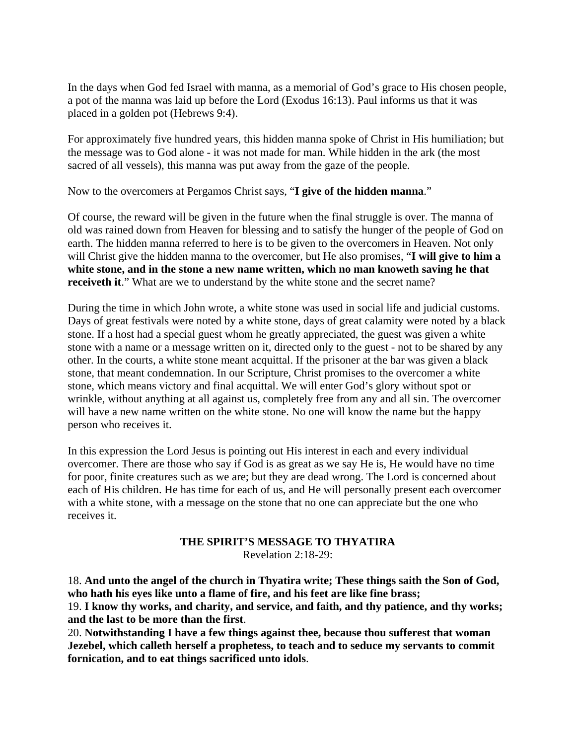In the days when God fed Israel with manna, as a memorial of God's grace to His chosen people, a pot of the manna was laid up before the Lord (Exodus 16:13). Paul informs us that it was placed in a golden pot (Hebrews 9:4).

For approximately five hundred years, this hidden manna spoke of Christ in His humiliation; but the message was to God alone - it was not made for man. While hidden in the ark (the most sacred of all vessels), this manna was put away from the gaze of the people.

Now to the overcomers at Pergamos Christ says, "**I give of the hidden manna**."

Of course, the reward will be given in the future when the final struggle is over. The manna of old was rained down from Heaven for blessing and to satisfy the hunger of the people of God on earth. The hidden manna referred to here is to be given to the overcomers in Heaven. Not only will Christ give the hidden manna to the overcomer, but He also promises, "**I will give to him a white stone, and in the stone a new name written, which no man knoweth saving he that receiveth it.**" What are we to understand by the white stone and the secret name?

During the time in which John wrote, a white stone was used in social life and judicial customs. Days of great festivals were noted by a white stone, days of great calamity were noted by a black stone. If a host had a special guest whom he greatly appreciated, the guest was given a white stone with a name or a message written on it, directed only to the guest - not to be shared by any other. In the courts, a white stone meant acquittal. If the prisoner at the bar was given a black stone, that meant condemnation. In our Scripture, Christ promises to the overcomer a white stone, which means victory and final acquittal. We will enter God's glory without spot or wrinkle, without anything at all against us, completely free from any and all sin. The overcomer will have a new name written on the white stone. No one will know the name but the happy person who receives it.

In this expression the Lord Jesus is pointing out His interest in each and every individual overcomer. There are those who say if God is as great as we say He is, He would have no time for poor, finite creatures such as we are; but they are dead wrong. The Lord is concerned about each of His children. He has time for each of us, and He will personally present each overcomer with a white stone, with a message on the stone that no one can appreciate but the one who receives it.

# **THE SPIRIT'S MESSAGE TO THYATIRA**

Revelation 2:18-29:

18. **And unto the angel of the church in Thyatira write; These things saith the Son of God, who hath his eyes like unto a flame of fire, and his feet are like fine brass;** 19. **I know thy works, and charity, and service, and faith, and thy patience, and thy works; and the last to be more than the first**.

20. **Notwithstanding I have a few things against thee, because thou sufferest that woman Jezebel, which calleth herself a prophetess, to teach and to seduce my servants to commit fornication, and to eat things sacrificed unto idols**.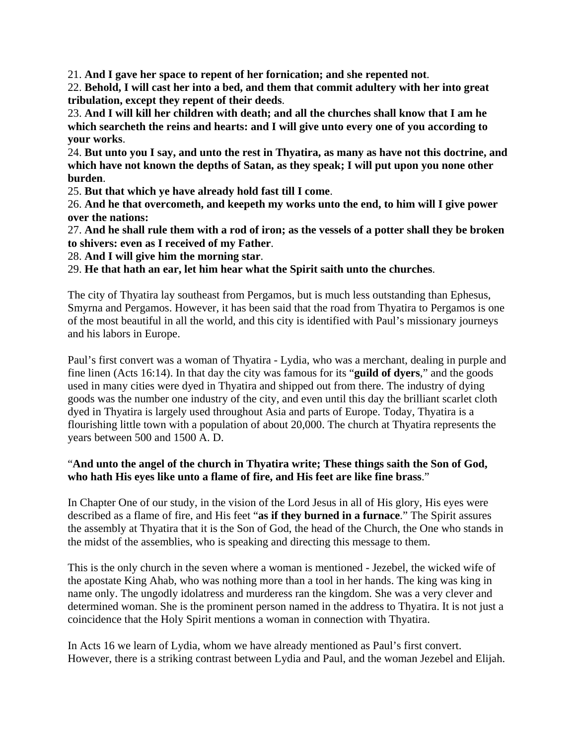21. **And I gave her space to repent of her fornication; and she repented not**.

22. **Behold, I will cast her into a bed, and them that commit adultery with her into great tribulation, except they repent of their deeds**.

23. **And I will kill her children with death; and all the churches shall know that I am he which searcheth the reins and hearts: and I will give unto every one of you according to your works**.

24. **But unto you I say, and unto the rest in Thyatira, as many as have not this doctrine, and which have not known the depths of Satan, as they speak; I will put upon you none other burden**.

25. **But that which ye have already hold fast till I come**.

26. **And he that overcometh, and keepeth my works unto the end, to him will I give power over the nations:**

27. **And he shall rule them with a rod of iron; as the vessels of a potter shall they be broken to shivers: even as I received of my Father**.

28. **And I will give him the morning star**.

29. **He that hath an ear, let him hear what the Spirit saith unto the churches**.

The city of Thyatira lay southeast from Pergamos, but is much less outstanding than Ephesus, Smyrna and Pergamos. However, it has been said that the road from Thyatira to Pergamos is one of the most beautiful in all the world, and this city is identified with Paul's missionary journeys and his labors in Europe.

Paul's first convert was a woman of Thyatira - Lydia, who was a merchant, dealing in purple and fine linen (Acts 16:14). In that day the city was famous for its "**guild of dyers**," and the goods used in many cities were dyed in Thyatira and shipped out from there. The industry of dying goods was the number one industry of the city, and even until this day the brilliant scarlet cloth dyed in Thyatira is largely used throughout Asia and parts of Europe. Today, Thyatira is a flourishing little town with a population of about 20,000. The church at Thyatira represents the years between 500 and 1500 A. D.

#### "**And unto the angel of the church in Thyatira write; These things saith the Son of God, who hath His eyes like unto a flame of fire, and His feet are like fine brass**."

In Chapter One of our study, in the vision of the Lord Jesus in all of His glory, His eyes were described as a flame of fire, and His feet "**as if they burned in a furnace**." The Spirit assures the assembly at Thyatira that it is the Son of God, the head of the Church, the One who stands in the midst of the assemblies, who is speaking and directing this message to them.

This is the only church in the seven where a woman is mentioned - Jezebel, the wicked wife of the apostate King Ahab, who was nothing more than a tool in her hands. The king was king in name only. The ungodly idolatress and murderess ran the kingdom. She was a very clever and determined woman. She is the prominent person named in the address to Thyatira. It is not just a coincidence that the Holy Spirit mentions a woman in connection with Thyatira.

In Acts 16 we learn of Lydia, whom we have already mentioned as Paul's first convert. However, there is a striking contrast between Lydia and Paul, and the woman Jezebel and Elijah.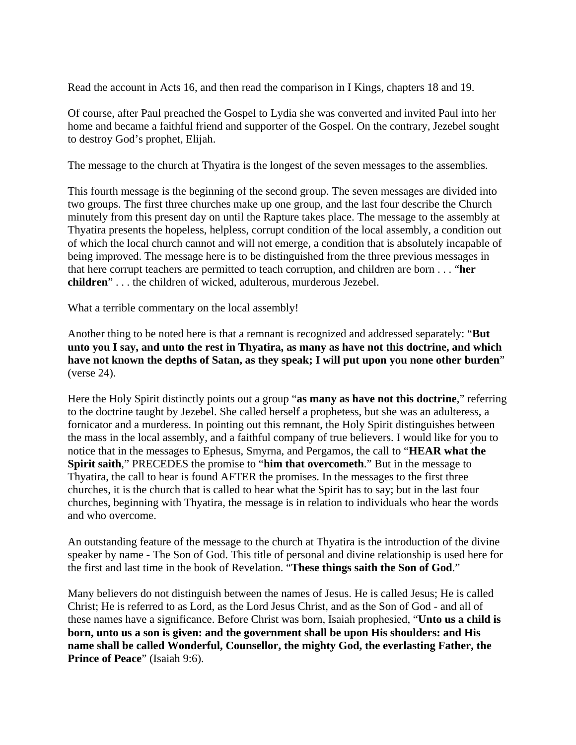Read the account in Acts 16, and then read the comparison in I Kings, chapters 18 and 19.

Of course, after Paul preached the Gospel to Lydia she was converted and invited Paul into her home and became a faithful friend and supporter of the Gospel. On the contrary, Jezebel sought to destroy God's prophet, Elijah.

The message to the church at Thyatira is the longest of the seven messages to the assemblies.

This fourth message is the beginning of the second group. The seven messages are divided into two groups. The first three churches make up one group, and the last four describe the Church minutely from this present day on until the Rapture takes place. The message to the assembly at Thyatira presents the hopeless, helpless, corrupt condition of the local assembly, a condition out of which the local church cannot and will not emerge, a condition that is absolutely incapable of being improved. The message here is to be distinguished from the three previous messages in that here corrupt teachers are permitted to teach corruption, and children are born . . . "**her children**" . . . the children of wicked, adulterous, murderous Jezebel.

What a terrible commentary on the local assembly!

Another thing to be noted here is that a remnant is recognized and addressed separately: "**But unto you I say, and unto the rest in Thyatira, as many as have not this doctrine, and which have not known the depths of Satan, as they speak; I will put upon you none other burden**" (verse 24).

Here the Holy Spirit distinctly points out a group "**as many as have not this doctrine**," referring to the doctrine taught by Jezebel. She called herself a prophetess, but she was an adulteress, a fornicator and a murderess. In pointing out this remnant, the Holy Spirit distinguishes between the mass in the local assembly, and a faithful company of true believers. I would like for you to notice that in the messages to Ephesus, Smyrna, and Pergamos, the call to "**HEAR what the Spirit saith**," PRECEDES the promise to "**him that overcometh**." But in the message to Thyatira, the call to hear is found AFTER the promises. In the messages to the first three churches, it is the church that is called to hear what the Spirit has to say; but in the last four churches, beginning with Thyatira, the message is in relation to individuals who hear the words and who overcome.

An outstanding feature of the message to the church at Thyatira is the introduction of the divine speaker by name - The Son of God. This title of personal and divine relationship is used here for the first and last time in the book of Revelation. "**These things saith the Son of God**."

Many believers do not distinguish between the names of Jesus. He is called Jesus; He is called Christ; He is referred to as Lord, as the Lord Jesus Christ, and as the Son of God - and all of these names have a significance. Before Christ was born, Isaiah prophesied, "**Unto us a child is born, unto us a son is given: and the government shall be upon His shoulders: and His name shall be called Wonderful, Counsellor, the mighty God, the everlasting Father, the Prince of Peace**" (Isaiah 9:6).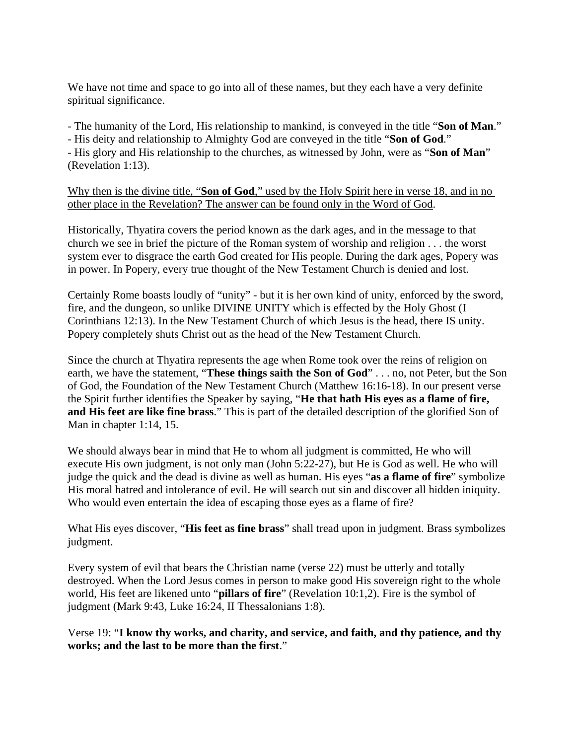We have not time and space to go into all of these names, but they each have a very definite spiritual significance.

- The humanity of the Lord, His relationship to mankind, is conveyed in the title "**Son of Man**."

- His deity and relationship to Almighty God are conveyed in the title "**Son of God**."

- His glory and His relationship to the churches, as witnessed by John, were as "**Son of Man**" (Revelation 1:13).

Why then is the divine title, "**Son of God**," used by the Holy Spirit here in verse 18, and in no other place in the Revelation? The answer can be found only in the Word of God.

Historically, Thyatira covers the period known as the dark ages, and in the message to that church we see in brief the picture of the Roman system of worship and religion . . . the worst system ever to disgrace the earth God created for His people. During the dark ages, Popery was in power. In Popery, every true thought of the New Testament Church is denied and lost.

Certainly Rome boasts loudly of "unity" - but it is her own kind of unity, enforced by the sword, fire, and the dungeon, so unlike DIVINE UNITY which is effected by the Holy Ghost (I Corinthians 12:13). In the New Testament Church of which Jesus is the head, there IS unity. Popery completely shuts Christ out as the head of the New Testament Church.

Since the church at Thyatira represents the age when Rome took over the reins of religion on earth, we have the statement, "**These things saith the Son of God**" . . . no, not Peter, but the Son of God, the Foundation of the New Testament Church (Matthew 16:16-18). In our present verse the Spirit further identifies the Speaker by saying, "**He that hath His eyes as a flame of fire, and His feet are like fine brass**." This is part of the detailed description of the glorified Son of Man in chapter 1:14, 15.

We should always bear in mind that He to whom all judgment is committed, He who will execute His own judgment, is not only man (John 5:22-27), but He is God as well. He who will judge the quick and the dead is divine as well as human. His eyes "**as a flame of fire**" symbolize His moral hatred and intolerance of evil. He will search out sin and discover all hidden iniquity. Who would even entertain the idea of escaping those eyes as a flame of fire?

What His eyes discover, "**His feet as fine brass**" shall tread upon in judgment. Brass symbolizes judgment.

Every system of evil that bears the Christian name (verse 22) must be utterly and totally destroyed. When the Lord Jesus comes in person to make good His sovereign right to the whole world, His feet are likened unto "**pillars of fire**" (Revelation 10:1,2). Fire is the symbol of judgment (Mark 9:43, Luke 16:24, II Thessalonians 1:8).

Verse 19: "**I know thy works, and charity, and service, and faith, and thy patience, and thy works; and the last to be more than the first**."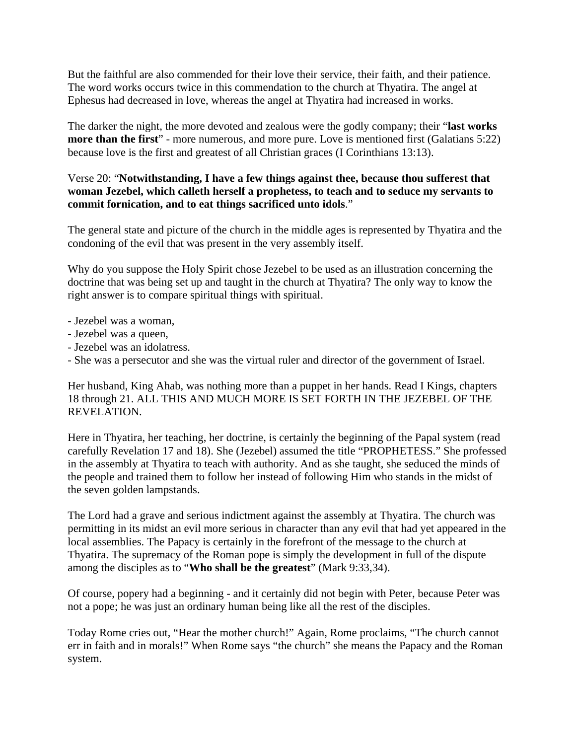But the faithful are also commended for their love their service, their faith, and their patience. The word works occurs twice in this commendation to the church at Thyatira. The angel at Ephesus had decreased in love, whereas the angel at Thyatira had increased in works.

The darker the night, the more devoted and zealous were the godly company; their "**last works more than the first**" - more numerous, and more pure. Love is mentioned first (Galatians 5:22) because love is the first and greatest of all Christian graces (I Corinthians 13:13).

# Verse 20: "**Notwithstanding, I have a few things against thee, because thou sufferest that woman Jezebel, which calleth herself a prophetess, to teach and to seduce my servants to commit fornication, and to eat things sacrificed unto idols**."

The general state and picture of the church in the middle ages is represented by Thyatira and the condoning of the evil that was present in the very assembly itself.

Why do you suppose the Holy Spirit chose Jezebel to be used as an illustration concerning the doctrine that was being set up and taught in the church at Thyatira? The only way to know the right answer is to compare spiritual things with spiritual.

- Jezebel was a woman,
- Jezebel was a queen,
- Jezebel was an idolatress.
- She was a persecutor and she was the virtual ruler and director of the government of Israel.

Her husband, King Ahab, was nothing more than a puppet in her hands. Read I Kings, chapters 18 through 21. ALL THIS AND MUCH MORE IS SET FORTH IN THE JEZEBEL OF THE REVELATION.

Here in Thyatira, her teaching, her doctrine, is certainly the beginning of the Papal system (read carefully Revelation 17 and 18). She (Jezebel) assumed the title "PROPHETESS." She professed in the assembly at Thyatira to teach with authority. And as she taught, she seduced the minds of the people and trained them to follow her instead of following Him who stands in the midst of the seven golden lampstands.

The Lord had a grave and serious indictment against the assembly at Thyatira. The church was permitting in its midst an evil more serious in character than any evil that had yet appeared in the local assemblies. The Papacy is certainly in the forefront of the message to the church at Thyatira. The supremacy of the Roman pope is simply the development in full of the dispute among the disciples as to "**Who shall be the greatest**" (Mark 9:33,34).

Of course, popery had a beginning - and it certainly did not begin with Peter, because Peter was not a pope; he was just an ordinary human being like all the rest of the disciples.

Today Rome cries out, "Hear the mother church!" Again, Rome proclaims, "The church cannot err in faith and in morals!" When Rome says "the church" she means the Papacy and the Roman system.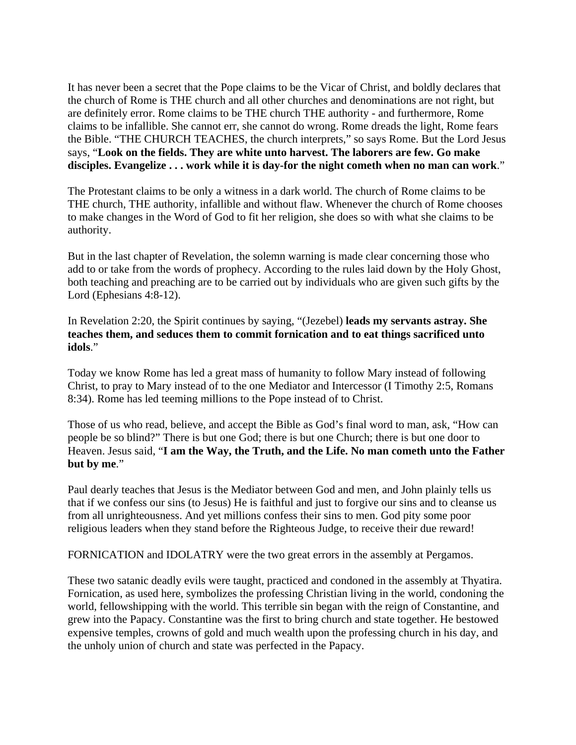It has never been a secret that the Pope claims to be the Vicar of Christ, and boldly declares that the church of Rome is THE church and all other churches and denominations are not right, but are definitely error. Rome claims to be THE church THE authority - and furthermore, Rome claims to be infallible. She cannot err, she cannot do wrong. Rome dreads the light, Rome fears the Bible. "THE CHURCH TEACHES, the church interprets," so says Rome. But the Lord Jesus says, "**Look on the fields. They are white unto harvest. The laborers are few. Go make disciples. Evangelize . . . work while it is day-for the night cometh when no man can work**."

The Protestant claims to be only a witness in a dark world. The church of Rome claims to be THE church, THE authority, infallible and without flaw. Whenever the church of Rome chooses to make changes in the Word of God to fit her religion, she does so with what she claims to be authority.

But in the last chapter of Revelation, the solemn warning is made clear concerning those who add to or take from the words of prophecy. According to the rules laid down by the Holy Ghost, both teaching and preaching are to be carried out by individuals who are given such gifts by the Lord (Ephesians 4:8-12).

In Revelation 2:20, the Spirit continues by saying, "(Jezebel) **leads my servants astray. She teaches them, and seduces them to commit fornication and to eat things sacrificed unto idols**."

Today we know Rome has led a great mass of humanity to follow Mary instead of following Christ, to pray to Mary instead of to the one Mediator and Intercessor (I Timothy 2:5, Romans 8:34). Rome has led teeming millions to the Pope instead of to Christ.

Those of us who read, believe, and accept the Bible as God's final word to man, ask, "How can people be so blind?" There is but one God; there is but one Church; there is but one door to Heaven. Jesus said, "**I am the Way, the Truth, and the Life. No man cometh unto the Father but by me**."

Paul dearly teaches that Jesus is the Mediator between God and men, and John plainly tells us that if we confess our sins (to Jesus) He is faithful and just to forgive our sins and to cleanse us from all unrighteousness. And yet millions confess their sins to men. God pity some poor religious leaders when they stand before the Righteous Judge, to receive their due reward!

FORNICATION and IDOLATRY were the two great errors in the assembly at Pergamos.

These two satanic deadly evils were taught, practiced and condoned in the assembly at Thyatira. Fornication, as used here, symbolizes the professing Christian living in the world, condoning the world, fellowshipping with the world. This terrible sin began with the reign of Constantine, and grew into the Papacy. Constantine was the first to bring church and state together. He bestowed expensive temples, crowns of gold and much wealth upon the professing church in his day, and the unholy union of church and state was perfected in the Papacy.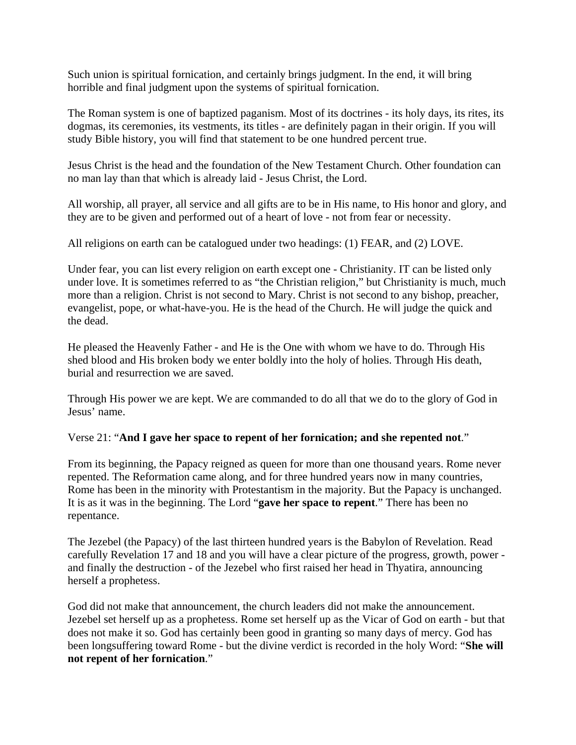Such union is spiritual fornication, and certainly brings judgment. In the end, it will bring horrible and final judgment upon the systems of spiritual fornication.

The Roman system is one of baptized paganism. Most of its doctrines - its holy days, its rites, its dogmas, its ceremonies, its vestments, its titles - are definitely pagan in their origin. If you will study Bible history, you will find that statement to be one hundred percent true.

Jesus Christ is the head and the foundation of the New Testament Church. Other foundation can no man lay than that which is already laid - Jesus Christ, the Lord.

All worship, all prayer, all service and all gifts are to be in His name, to His honor and glory, and they are to be given and performed out of a heart of love - not from fear or necessity.

All religions on earth can be catalogued under two headings: (1) FEAR, and (2) LOVE.

Under fear, you can list every religion on earth except one - Christianity. IT can be listed only under love. It is sometimes referred to as "the Christian religion," but Christianity is much, much more than a religion. Christ is not second to Mary. Christ is not second to any bishop, preacher, evangelist, pope, or what-have-you. He is the head of the Church. He will judge the quick and the dead.

He pleased the Heavenly Father - and He is the One with whom we have to do. Through His shed blood and His broken body we enter boldly into the holy of holies. Through His death, burial and resurrection we are saved.

Through His power we are kept. We are commanded to do all that we do to the glory of God in Jesus' name.

#### Verse 21: "**And I gave her space to repent of her fornication; and she repented not**."

From its beginning, the Papacy reigned as queen for more than one thousand years. Rome never repented. The Reformation came along, and for three hundred years now in many countries, Rome has been in the minority with Protestantism in the majority. But the Papacy is unchanged. It is as it was in the beginning. The Lord "**gave her space to repent**." There has been no repentance.

The Jezebel (the Papacy) of the last thirteen hundred years is the Babylon of Revelation. Read carefully Revelation 17 and 18 and you will have a clear picture of the progress, growth, power and finally the destruction - of the Jezebel who first raised her head in Thyatira, announcing herself a prophetess.

God did not make that announcement, the church leaders did not make the announcement. Jezebel set herself up as a prophetess. Rome set herself up as the Vicar of God on earth - but that does not make it so. God has certainly been good in granting so many days of mercy. God has been longsuffering toward Rome - but the divine verdict is recorded in the holy Word: "**She will not repent of her fornication**."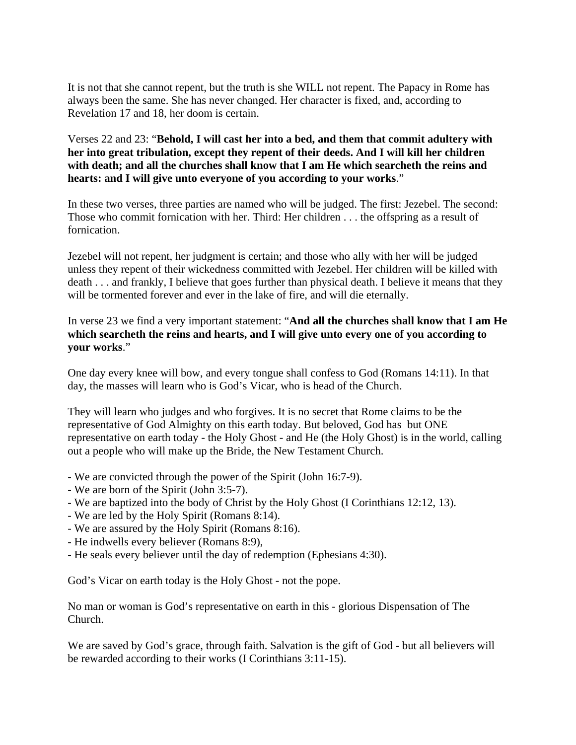It is not that she cannot repent, but the truth is she WILL not repent. The Papacy in Rome has always been the same. She has never changed. Her character is fixed, and, according to Revelation 17 and 18, her doom is certain.

Verses 22 and 23: "**Behold, I will cast her into a bed, and them that commit adultery with her into great tribulation, except they repent of their deeds. And I will kill her children with death; and all the churches shall know that I am He which searcheth the reins and hearts: and I will give unto everyone of you according to your works**."

In these two verses, three parties are named who will be judged. The first: Jezebel. The second: Those who commit fornication with her. Third: Her children . . . the offspring as a result of fornication.

Jezebel will not repent, her judgment is certain; and those who ally with her will be judged unless they repent of their wickedness committed with Jezebel. Her children will be killed with death . . . and frankly, I believe that goes further than physical death. I believe it means that they will be tormented forever and ever in the lake of fire, and will die eternally.

#### In verse 23 we find a very important statement: "**And all the churches shall know that I am He which searcheth the reins and hearts, and I will give unto every one of you according to your works**."

One day every knee will bow, and every tongue shall confess to God (Romans 14:11). In that day, the masses will learn who is God's Vicar, who is head of the Church.

They will learn who judges and who forgives. It is no secret that Rome claims to be the representative of God Almighty on this earth today. But beloved, God has but ONE representative on earth today - the Holy Ghost - and He (the Holy Ghost) is in the world, calling out a people who will make up the Bride, the New Testament Church.

- We are convicted through the power of the Spirit (John 16:7-9).
- We are born of the Spirit (John 3:5-7).
- We are baptized into the body of Christ by the Holy Ghost (I Corinthians 12:12, 13).
- We are led by the Holy Spirit (Romans 8:14).
- We are assured by the Holy Spirit (Romans 8:16).
- He indwells every believer (Romans 8:9),
- He seals every believer until the day of redemption (Ephesians 4:30).

God's Vicar on earth today is the Holy Ghost - not the pope.

No man or woman is God's representative on earth in this - glorious Dispensation of The Church.

We are saved by God's grace, through faith. Salvation is the gift of God - but all believers will be rewarded according to their works (I Corinthians 3:11-15).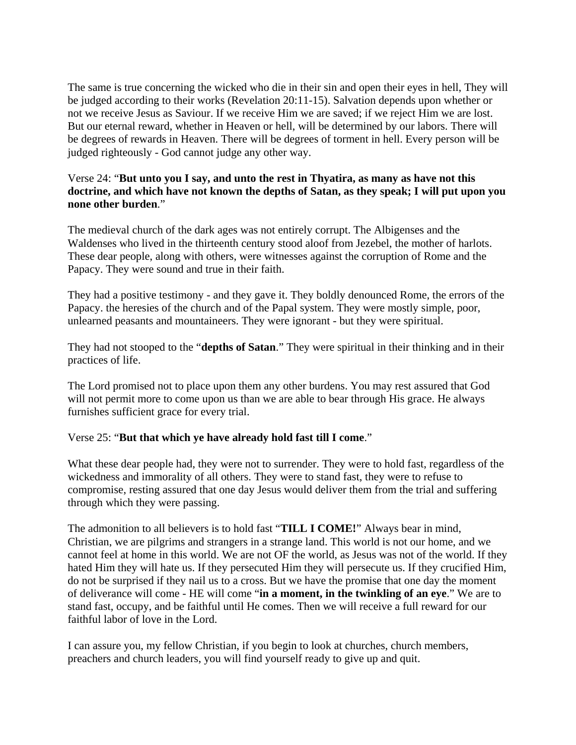The same is true concerning the wicked who die in their sin and open their eyes in hell, They will be judged according to their works (Revelation 20:11-15). Salvation depends upon whether or not we receive Jesus as Saviour. If we receive Him we are saved; if we reject Him we are lost. But our eternal reward, whether in Heaven or hell, will be determined by our labors. There will be degrees of rewards in Heaven. There will be degrees of torment in hell. Every person will be judged righteously - God cannot judge any other way.

#### Verse 24: "**But unto you I say, and unto the rest in Thyatira, as many as have not this doctrine, and which have not known the depths of Satan, as they speak; I will put upon you none other burden**."

The medieval church of the dark ages was not entirely corrupt. The Albigenses and the Waldenses who lived in the thirteenth century stood aloof from Jezebel, the mother of harlots. These dear people, along with others, were witnesses against the corruption of Rome and the Papacy. They were sound and true in their faith.

They had a positive testimony - and they gave it. They boldly denounced Rome, the errors of the Papacy. the heresies of the church and of the Papal system. They were mostly simple, poor, unlearned peasants and mountaineers. They were ignorant - but they were spiritual.

They had not stooped to the "**depths of Satan**." They were spiritual in their thinking and in their practices of life.

The Lord promised not to place upon them any other burdens. You may rest assured that God will not permit more to come upon us than we are able to bear through His grace. He always furnishes sufficient grace for every trial.

#### Verse 25: "**But that which ye have already hold fast till I come**."

What these dear people had, they were not to surrender. They were to hold fast, regardless of the wickedness and immorality of all others. They were to stand fast, they were to refuse to compromise, resting assured that one day Jesus would deliver them from the trial and suffering through which they were passing.

The admonition to all believers is to hold fast "**TILL I COME!**" Always bear in mind, Christian, we are pilgrims and strangers in a strange land. This world is not our home, and we cannot feel at home in this world. We are not OF the world, as Jesus was not of the world. If they hated Him they will hate us. If they persecuted Him they will persecute us. If they crucified Him, do not be surprised if they nail us to a cross. But we have the promise that one day the moment of deliverance will come - HE will come "**in a moment, in the twinkling of an eye**." We are to stand fast, occupy, and be faithful until He comes. Then we will receive a full reward for our faithful labor of love in the Lord.

I can assure you, my fellow Christian, if you begin to look at churches, church members, preachers and church leaders, you will find yourself ready to give up and quit.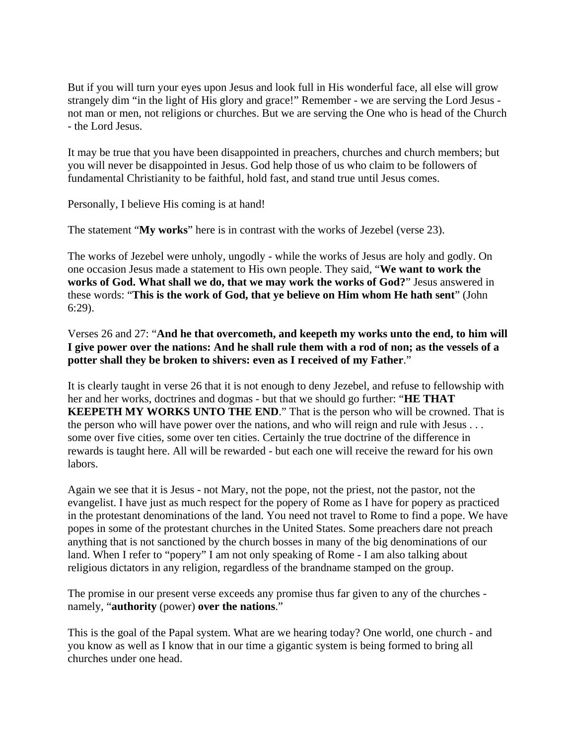But if you will turn your eyes upon Jesus and look full in His wonderful face, all else will grow strangely dim "in the light of His glory and grace!" Remember - we are serving the Lord Jesus not man or men, not religions or churches. But we are serving the One who is head of the Church - the Lord Jesus.

It may be true that you have been disappointed in preachers, churches and church members; but you will never be disappointed in Jesus. God help those of us who claim to be followers of fundamental Christianity to be faithful, hold fast, and stand true until Jesus comes.

Personally, I believe His coming is at hand!

The statement "**My works**" here is in contrast with the works of Jezebel (verse 23).

The works of Jezebel were unholy, ungodly - while the works of Jesus are holy and godly. On one occasion Jesus made a statement to His own people. They said, "**We want to work the works of God. What shall we do, that we may work the works of God?**" Jesus answered in these words: "**This is the work of God, that ye believe on Him whom He hath sent**" (John 6:29).

Verses 26 and 27: "**And he that overcometh, and keepeth my works unto the end, to him will I give power over the nations: And he shall rule them with a rod of non; as the vessels of a potter shall they be broken to shivers: even as I received of my Father**."

It is clearly taught in verse 26 that it is not enough to deny Jezebel, and refuse to fellowship with her and her works, doctrines and dogmas - but that we should go further: "**HE THAT KEEPETH MY WORKS UNTO THE END**." That is the person who will be crowned. That is the person who will have power over the nations, and who will reign and rule with Jesus . . . some over five cities, some over ten cities. Certainly the true doctrine of the difference in rewards is taught here. All will be rewarded - but each one will receive the reward for his own labors.

Again we see that it is Jesus - not Mary, not the pope, not the priest, not the pastor, not the evangelist. I have just as much respect for the popery of Rome as I have for popery as practiced in the protestant denominations of the land. You need not travel to Rome to find a pope. We have popes in some of the protestant churches in the United States. Some preachers dare not preach anything that is not sanctioned by the church bosses in many of the big denominations of our land. When I refer to "popery" I am not only speaking of Rome - I am also talking about religious dictators in any religion, regardless of the brandname stamped on the group.

The promise in our present verse exceeds any promise thus far given to any of the churches namely, "**authority** (power) **over the nations**."

This is the goal of the Papal system. What are we hearing today? One world, one church - and you know as well as I know that in our time a gigantic system is being formed to bring all churches under one head.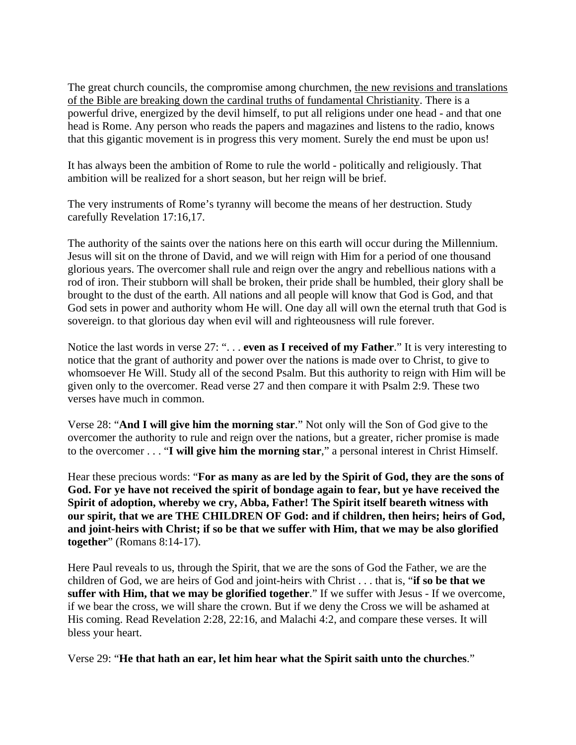The great church councils, the compromise among churchmen, the new revisions and translations of the Bible are breaking down the cardinal truths of fundamental Christianity. There is a powerful drive, energized by the devil himself, to put all religions under one head - and that one head is Rome. Any person who reads the papers and magazines and listens to the radio, knows that this gigantic movement is in progress this very moment. Surely the end must be upon us!

It has always been the ambition of Rome to rule the world - politically and religiously. That ambition will be realized for a short season, but her reign will be brief.

The very instruments of Rome's tyranny will become the means of her destruction. Study carefully Revelation 17:16,17.

The authority of the saints over the nations here on this earth will occur during the Millennium. Jesus will sit on the throne of David, and we will reign with Him for a period of one thousand glorious years. The overcomer shall rule and reign over the angry and rebellious nations with a rod of iron. Their stubborn will shall be broken, their pride shall be humbled, their glory shall be brought to the dust of the earth. All nations and all people will know that God is God, and that God sets in power and authority whom He will. One day all will own the eternal truth that God is sovereign. to that glorious day when evil will and righteousness will rule forever.

Notice the last words in verse 27: ". . . **even as I received of my Father**." It is very interesting to notice that the grant of authority and power over the nations is made over to Christ, to give to whomsoever He Will. Study all of the second Psalm. But this authority to reign with Him will be given only to the overcomer. Read verse 27 and then compare it with Psalm 2:9. These two verses have much in common.

Verse 28: "**And I will give him the morning star**." Not only will the Son of God give to the overcomer the authority to rule and reign over the nations, but a greater, richer promise is made to the overcomer . . . "**I will give him the morning star**," a personal interest in Christ Himself.

Hear these precious words: "**For as many as are led by the Spirit of God, they are the sons of God. For ye have not received the spirit of bondage again to fear, but ye have received the Spirit of adoption, whereby we cry, Abba, Father! The Spirit itself beareth witness with our spirit, that we are THE CHILDREN OF God: and if children, then heirs; heirs of God, and joint-heirs with Christ; if so be that we suffer with Him, that we may be also glorified together**" (Romans 8:14-17).

Here Paul reveals to us, through the Spirit, that we are the sons of God the Father, we are the children of God, we are heirs of God and joint-heirs with Christ . . . that is, "**if so be that we suffer with Him, that we may be glorified together**." If we suffer with Jesus - If we overcome, if we bear the cross, we will share the crown. But if we deny the Cross we will be ashamed at His coming. Read Revelation 2:28, 22:16, and Malachi 4:2, and compare these verses. It will bless your heart.

Verse 29: "**He that hath an ear, let him hear what the Spirit saith unto the churches**."